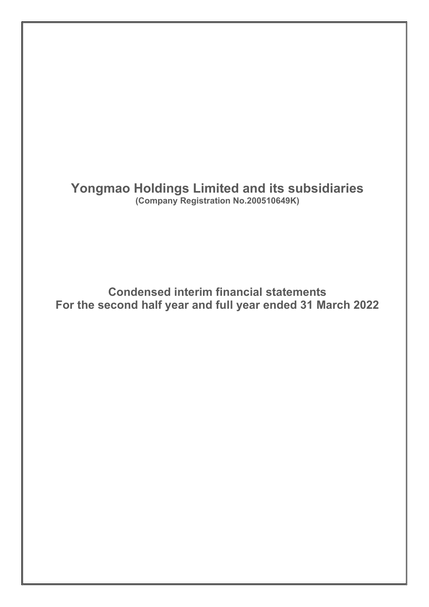**Yongmao Holdings Limited and its subsidiaries (Company Registration No.200510649K)**

**Condensed interim financial statements For the second half year and full year ended 31 March 2022**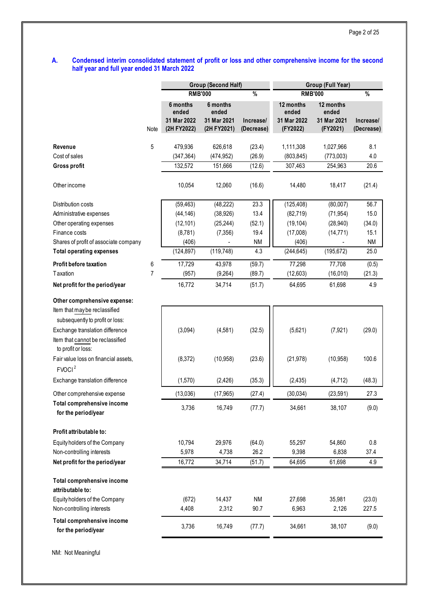#### **A. Condensed interim consolidated statement of profit or loss and other comprehensive income for the second half year and full year ended 31 March 2022**

|                                                        |                |                     | <b>Group (Second Half)</b> |            | Group (Full Year)  |                    |            |  |
|--------------------------------------------------------|----------------|---------------------|----------------------------|------------|--------------------|--------------------|------------|--|
|                                                        |                | <b>RMB'000</b><br>% |                            |            |                    | <b>RMB'000</b>     | %          |  |
|                                                        |                | 6 months<br>ended   | 6 months<br>ended          |            | 12 months<br>ended | 12 months<br>ended |            |  |
|                                                        |                | 31 Mar 2022         | 31 Mar 2021                | Increase/  | 31 Mar 2022        | 31 Mar 2021        | Increase/  |  |
|                                                        | Note           | (2H FY2022)         | (2H FY2021)                | (Decrease) | (FY2022)           | (FY2021)           | (Decrease) |  |
| Revenue                                                | 5              | 479,936             | 626,618                    | (23.4)     | 1,111,308          | 1,027,966          | 8.1        |  |
| Cost of sales                                          |                | (347, 364)          | (474, 952)                 | (26.9)     | (803, 845)         | (773,003)          | 4.0        |  |
| Gross profit                                           |                | 132,572             | 151,666                    | (12.6)     | 307,463            | 254,963            | 20.6       |  |
| Other income                                           |                | 10,054              | 12,060                     | (16.6)     | 14,480             | 18,417             | (21.4)     |  |
| Distribution costs                                     |                | (59, 463)           | (48, 222)                  | 23.3       | (125, 408)         | (80,007)           | 56.7       |  |
| Administrative expenses                                |                | (44, 146)           | (38, 926)                  | 13.4       | (82, 719)          | (71, 954)          | 15.0       |  |
| Other operating expenses                               |                | (12, 101)           | (25, 244)                  | (52.1)     | (19, 104)          | (28, 940)          | (34.0)     |  |
| Finance costs                                          |                | (8,781)             | (7, 356)                   | 19.4       | (17,008)           | (14, 771)          | 15.1       |  |
| Shares of profit of associate company                  |                | (406)               |                            | <b>NM</b>  | (406)              |                    | <b>NM</b>  |  |
| <b>Total operating expenses</b>                        |                | (124, 897)          | (119, 748)                 | 4.3        | (244, 645)         | (195, 672)         | 25.0       |  |
| Profit before taxation                                 | 6              | 17,729              | 43,978                     | (59.7)     | 77,298             | 77,708             | (0.5)      |  |
| Taxation                                               | $\overline{7}$ | (957)               | (9,264)                    | (89.7)     | (12,603)           | (16,010)           | (21.3)     |  |
| Net profit for the period/year                         |                | 16,772              | 34,714                     | (51.7)     | 64,695             | 61,698             | 4.9        |  |
| Other comprehensive expense:                           |                |                     |                            |            |                    |                    |            |  |
| Item that may be reclassified                          |                |                     |                            |            |                    |                    |            |  |
| subsequently to profit or loss:                        |                |                     |                            |            |                    |                    |            |  |
| Exchange translation difference                        |                | (3,094)             | (4,581)                    | (32.5)     | (5,621)            | (7, 921)           | (29.0)     |  |
| Item that cannot be reclassified<br>to profit or loss: |                |                     |                            |            |                    |                    |            |  |
| Fair value loss on financial assets,                   |                | (8,372)             | (10, 958)                  | (23.6)     | (21, 978)          | (10, 958)          | 100.6      |  |
| FVOCI <sup>2</sup>                                     |                |                     |                            |            |                    |                    |            |  |
| Exchange translation difference                        |                | (1,570)             | (2, 426)                   | (35.3)     | (2, 435)           | (4, 712)           | (48.3)     |  |
| Other comprehensive expense                            |                | (13,036)            | (17, 965)                  | (27.4)     | (30, 034)          | (23, 591)          | 27.3       |  |
| Total comprehensive income<br>for the period/year      |                | 3,736               | 16,749                     | (77.7)     | 34,661             | 38,107             | (9.0)      |  |
| Profit attributable to:                                |                |                     |                            |            |                    |                    |            |  |
| Equity holders of the Company                          |                | 10,794              | 29,976                     | (64.0)     | 55,297             | 54,860             | 0.8        |  |
| Non-controlling interests                              |                | 5,978               | 4,738                      | 26.2       | 9,398              | 6,838              | 37.4       |  |
| Net profit for the period/year                         |                | 16,772              | 34,714                     | (51.7)     | 64,695             | 61,698             | 4.9        |  |
| Total comprehensive income<br>attributable to:         |                |                     |                            |            |                    |                    |            |  |
| Equity holders of the Company                          |                | (672)               | 14,437                     | <b>NM</b>  | 27,698             | 35,981             | (23.0)     |  |
| Non-controlling interests                              |                | 4,408               | 2,312                      | 90.7       | 6,963              | 2,126              | 227.5      |  |
| Total comprehensive income<br>for the period/year      |                | 3,736               | 16,749                     | (77.7)     | 34,661             | 38,107             | (9.0)      |  |
|                                                        |                |                     |                            |            |                    |                    |            |  |

NM: Not Meaningful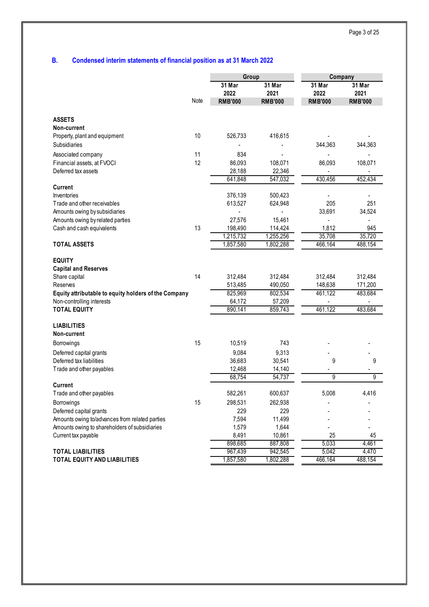## **B. Condensed interim statements of financial position as at 31 March 2022**

|                                                                                                                                                                                       |          | Group                                              |                                                    | Company                                  |                                          |  |
|---------------------------------------------------------------------------------------------------------------------------------------------------------------------------------------|----------|----------------------------------------------------|----------------------------------------------------|------------------------------------------|------------------------------------------|--|
|                                                                                                                                                                                       | Note     | 31 Mar<br>2022<br><b>RMB'000</b>                   | 31 Mar<br>2021<br><b>RMB'000</b>                   | 31 Mar<br>2022<br><b>RMB'000</b>         | 31 Mar<br>2021<br><b>RMB'000</b>         |  |
| <b>ASSETS</b>                                                                                                                                                                         |          |                                                    |                                                    |                                          |                                          |  |
| Non-current                                                                                                                                                                           |          |                                                    |                                                    |                                          |                                          |  |
| Property, plant and equipment                                                                                                                                                         | 10       | 526,733                                            | 416,615                                            |                                          |                                          |  |
| <b>Subsidiaries</b>                                                                                                                                                                   |          |                                                    |                                                    |                                          | 344,363                                  |  |
|                                                                                                                                                                                       |          |                                                    |                                                    | 344,363                                  |                                          |  |
| Associated company                                                                                                                                                                    | 11<br>12 | 834                                                |                                                    |                                          |                                          |  |
| Financial assets, at FVOCI<br>Deferred tax assets                                                                                                                                     |          | 86,093                                             | 108,071                                            | 86,093                                   | 108,071                                  |  |
|                                                                                                                                                                                       |          | 28,188<br>641,848                                  | 22,346<br>547,032                                  | 430,456                                  | 452,434                                  |  |
| <b>Current</b>                                                                                                                                                                        |          |                                                    |                                                    |                                          |                                          |  |
| Inventories                                                                                                                                                                           |          | 376,139                                            | 500,423                                            |                                          |                                          |  |
| Trade and other receivables                                                                                                                                                           |          | 613,527                                            | 624,948                                            | 205                                      | 251                                      |  |
| Amounts owing by subsidiaries                                                                                                                                                         |          |                                                    |                                                    | 33,691                                   | 34,524                                   |  |
| Amounts owing by related parties                                                                                                                                                      |          | 27,576                                             | 15,461                                             |                                          | $\overline{\phantom{a}}$                 |  |
| Cash and cash equivalents                                                                                                                                                             | 13       | 198,490                                            | 114,424                                            | 1,812                                    | 945                                      |  |
|                                                                                                                                                                                       |          | 1,215,732                                          | 1,255,256                                          | 35,708                                   | 35,720                                   |  |
| <b>TOTAL ASSETS</b>                                                                                                                                                                   |          | 1,857,580                                          | 1,802,288                                          | 466,164                                  | 488,154                                  |  |
| <b>EQUITY</b><br><b>Capital and Reserves</b><br>Share capital<br>Reserves<br>Equity attributable to equity holders of the Company<br>Non-controlling interests<br><b>TOTAL EQUITY</b> | 14       | 312,484<br>513,485<br>825,969<br>64,172<br>890,141 | 312,484<br>490,050<br>802,534<br>57,209<br>859,743 | 312,484<br>148,638<br>461,122<br>461,122 | 312,484<br>171,200<br>483,684<br>483,684 |  |
| <b>LIABILITIES</b>                                                                                                                                                                    |          |                                                    |                                                    |                                          |                                          |  |
| Non-current                                                                                                                                                                           |          |                                                    |                                                    |                                          |                                          |  |
| Borrowings                                                                                                                                                                            | 15       | 10,519                                             | 743                                                |                                          |                                          |  |
| Deferred capital grants                                                                                                                                                               |          | 9,084                                              | 9,313                                              |                                          |                                          |  |
| Deferred tax liabilities                                                                                                                                                              |          | 36,683                                             | 30,541                                             | 9                                        | 9                                        |  |
| Trade and other payables                                                                                                                                                              |          | 12,468<br>68,754                                   | 14,140<br>54,737                                   | 9                                        | 9                                        |  |
| Current                                                                                                                                                                               |          |                                                    |                                                    |                                          |                                          |  |
| Trade and other payables                                                                                                                                                              |          | 582,261                                            | 600,637                                            | 5.008                                    | 4.416                                    |  |
| Borrowings                                                                                                                                                                            | 15       | 298,531                                            | 262,938                                            |                                          |                                          |  |
| Deferred capital grants                                                                                                                                                               |          | 229                                                | 229                                                |                                          |                                          |  |
| Amounts owing to/advances from related parties                                                                                                                                        |          | 7,594                                              | 11,499                                             |                                          |                                          |  |
| Amounts owing to shareholders of subsidiaries                                                                                                                                         |          | 1,579                                              | 1,644                                              |                                          |                                          |  |
| Current tax payable                                                                                                                                                                   |          | 8,491                                              | 10,861                                             | 25                                       | 45                                       |  |
|                                                                                                                                                                                       |          | 898,685                                            | 887,808                                            | 5,033                                    | 4,461                                    |  |
| <b>TOTAL LIABILITIES</b>                                                                                                                                                              |          | 967,439                                            | 942,545                                            | 5,042                                    | 4,470                                    |  |
| TOTAL EQUITY AND LIABILITIES                                                                                                                                                          |          | 1,857,580                                          | 1,802,288                                          | 466,164                                  | 488,154                                  |  |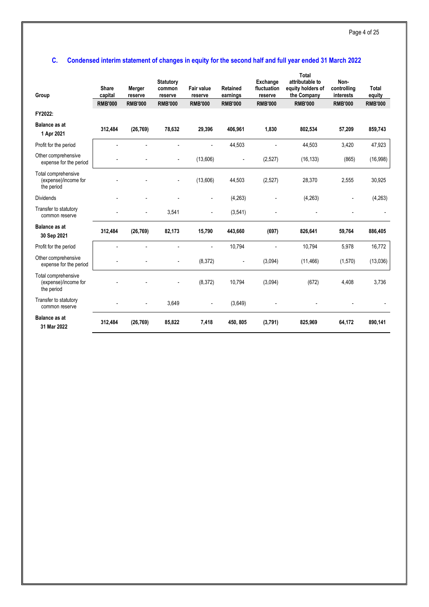## **C. Condensed interim statement of changes in equity for the second half and full year ended 31 March 2022**

| Group                                                     | <b>Share</b><br>capital<br><b>RMB'000</b> | Merger<br>reserve<br><b>RMB'000</b> | <b>Statutory</b><br>common<br>reserve<br><b>RMB'000</b> | <b>Fair value</b><br>reserve<br><b>RMB'000</b> | <b>Retained</b><br>earnings<br><b>RMB'000</b> | Exchange<br>fluctuation<br>reserve<br><b>RMB'000</b> | Total<br>attributable to<br>equity holders of<br>the Company<br><b>RMB'000</b> | Non-<br>controlling<br>interests<br><b>RMB'000</b> | <b>Total</b><br>equity<br><b>RMB'000</b> |
|-----------------------------------------------------------|-------------------------------------------|-------------------------------------|---------------------------------------------------------|------------------------------------------------|-----------------------------------------------|------------------------------------------------------|--------------------------------------------------------------------------------|----------------------------------------------------|------------------------------------------|
| FY2022:                                                   |                                           |                                     |                                                         |                                                |                                               |                                                      |                                                                                |                                                    |                                          |
| <b>Balance as at</b><br>1 Apr 2021                        | 312,484                                   | (26, 769)                           | 78,632                                                  | 29,396                                         | 406,961                                       | 1,830                                                | 802,534                                                                        | 57,209                                             | 859,743                                  |
| Profit for the period                                     |                                           |                                     |                                                         |                                                | 44,503                                        |                                                      | 44,503                                                                         | 3,420                                              | 47,923                                   |
| Other comprehensive<br>expense for the period             |                                           |                                     | $\overline{\phantom{a}}$                                | (13,606)                                       | $\overline{\phantom{a}}$                      | (2,527)                                              | (16, 133)                                                                      | (865)                                              | (16,998)                                 |
| Total comprehensive<br>(expense)/income for<br>the period |                                           |                                     |                                                         | (13,606)                                       | 44,503                                        | (2,527)                                              | 28,370                                                                         | 2,555                                              | 30,925                                   |
| <b>Dividends</b>                                          |                                           |                                     |                                                         |                                                | (4,263)                                       |                                                      | (4,263)                                                                        |                                                    | (4,263)                                  |
| Transfer to statutory<br>common reserve                   |                                           | $\overline{a}$                      | 3,541                                                   |                                                | (3,541)                                       |                                                      |                                                                                |                                                    |                                          |
| <b>Balance as at</b><br>30 Sep 2021                       | 312.484                                   | (26, 769)                           | 82,173                                                  | 15,790                                         | 443.660                                       | (697)                                                | 826,641                                                                        | 59,764                                             | 886,405                                  |
| Profit for the period                                     |                                           |                                     |                                                         |                                                | 10,794                                        |                                                      | 10,794                                                                         | 5,978                                              | 16,772                                   |
| Other comprehensive<br>expense for the period             |                                           |                                     |                                                         | (8,372)                                        | $\overline{\phantom{a}}$                      | (3,094)                                              | (11, 466)                                                                      | (1,570)                                            | (13,036)                                 |
| Total comprehensive<br>(expense)/income for<br>the period |                                           |                                     |                                                         | (8,372)                                        | 10,794                                        | (3,094)                                              | (672)                                                                          | 4,408                                              | 3,736                                    |
| Transfer to statutory<br>common reserve                   |                                           |                                     | 3,649                                                   |                                                | (3,649)                                       |                                                      |                                                                                |                                                    |                                          |
| <b>Balance as at</b><br>31 Mar 2022                       | 312.484                                   | (26, 769)                           | 85,822                                                  | 7.418                                          | 450.805                                       | (3,791)                                              | 825.969                                                                        | 64,172                                             | 890,141                                  |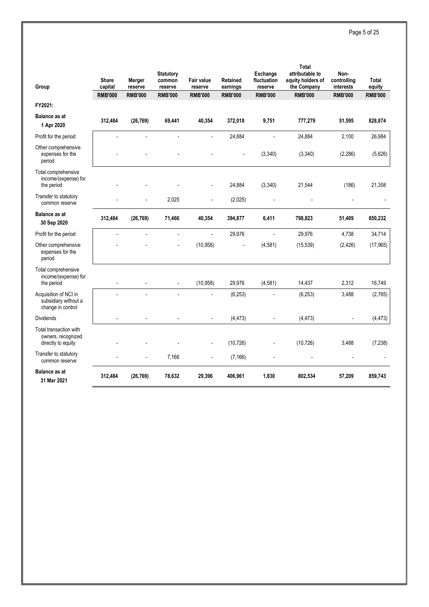## Page 5 of 25

| Group                                                              | Share<br>capital         | Merger<br>reserve | <b>Statutory</b><br>common<br>reserve | <b>Fair value</b><br>reserve | Retained<br>earnings | Exchange<br>fluctuation<br>reserve | <b>Total</b><br>attributable to<br>equity holders of<br>the Company | Non-<br>controlling<br>interests | <b>Total</b><br>equity |
|--------------------------------------------------------------------|--------------------------|-------------------|---------------------------------------|------------------------------|----------------------|------------------------------------|---------------------------------------------------------------------|----------------------------------|------------------------|
|                                                                    | <b>RMB'000</b>           | <b>RMB'000</b>    | <b>RMB'000</b>                        | <b>RMB'000</b>               | <b>RMB'000</b>       | <b>RMB'000</b>                     | <b>RMB'000</b>                                                      | <b>RMB'000</b>                   | <b>RMB'000</b>         |
| FY2021:                                                            |                          |                   |                                       |                              |                      |                                    |                                                                     |                                  |                        |
| <b>Balance as at</b><br>1 Apr 2020                                 | 312,484                  | (26, 769)         | 69,441                                | 40,354                       | 372,018              | 9,751                              | 777,279                                                             | 51,595                           | 828,874                |
| Profit for the period                                              |                          |                   |                                       |                              | 24,884               |                                    | 24,884                                                              | 2,100                            | 26,984                 |
| Other comprehensive<br>expenses for the<br>period                  |                          |                   |                                       |                              |                      | (3, 340)                           | (3, 340)                                                            | (2, 286)                         | (5,626)                |
| Total comprehensive<br>income/(expense) for<br>the period          |                          |                   |                                       |                              | 24,884               | (3, 340)                           | 21,544                                                              | (186)                            | 21,358                 |
| Transfer to statutory<br>common reserve                            |                          |                   | 2,025                                 |                              | (2,025)              |                                    |                                                                     |                                  |                        |
| <b>Balance as at</b><br>30 Sep 2020                                | 312,484                  | (26, 769)         | 71,466                                | 40,354                       | 394,877              | 6,411                              | 798,823                                                             | 51,409                           | 850,232                |
| Profit for the period                                              | L.                       |                   | $\blacksquare$                        | $\blacksquare$               | 29,976               | $\overline{a}$                     | 29,976                                                              | 4.738                            | 34,714                 |
| Other comprehensive<br>expenses for the<br>period                  |                          |                   |                                       | (10, 958)                    |                      | (4,581)                            | (15, 539)                                                           | (2, 426)                         | (17, 965)              |
| Total comprehensive<br>income/(expense) for<br>the period          | $\overline{\phantom{a}}$ |                   | $\blacksquare$                        | (10, 958)                    | 29,976               | (4,581)                            | 14,437                                                              | 2,312                            | 16,749                 |
| Acquisition of NCI in<br>subsidiary without a<br>change in control |                          |                   |                                       |                              | (6, 253)             |                                    | (6, 253)                                                            | 3,488                            | (2,765)                |
| <b>Dividends</b>                                                   |                          |                   |                                       | $\overline{a}$               | (4, 473)             | $\overline{\phantom{a}}$           | (4, 473)                                                            | $\overline{\phantom{a}}$         | (4, 473)               |
| Total transaction with<br>owners, recognized<br>directly to equity |                          |                   |                                       |                              | (10, 726)            |                                    | (10, 726)                                                           | 3,488                            | (7, 238)               |
| Transfer to statutory<br>common reserve                            |                          |                   | 7,166                                 | $\overline{a}$               | (7, 166)             |                                    |                                                                     |                                  |                        |
| <b>Balance as at</b><br>31 Mar 2021                                | 312,484                  | (26, 769)         | 78,632                                | 29,396                       | 406,961              | 1,830                              | 802,534                                                             | 57,209                           | 859,743                |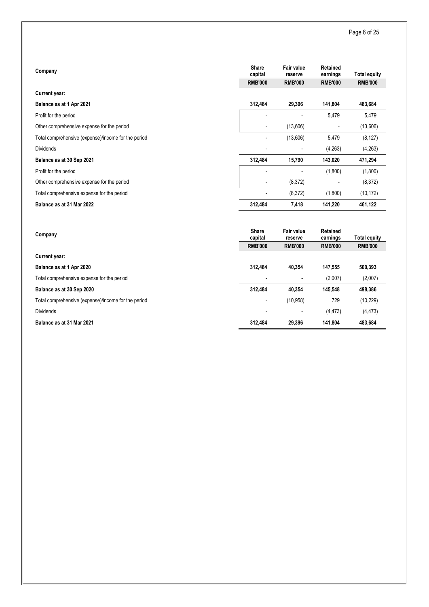| Company                                             | <b>Share</b><br>capital<br><b>RMB'000</b> | <b>Fair value</b><br>reserve<br><b>RMB'000</b> | Retained<br>earnings<br><b>RMB'000</b> | <b>Total equity</b><br><b>RMB'000</b> |
|-----------------------------------------------------|-------------------------------------------|------------------------------------------------|----------------------------------------|---------------------------------------|
| <b>Current year:</b>                                |                                           |                                                |                                        |                                       |
| Balance as at 1 Apr 2021                            | 312,484                                   | 29,396                                         | 141,804                                | 483,684                               |
| Profit for the period                               |                                           |                                                | 5,479                                  | 5,479                                 |
| Other comprehensive expense for the period          | $\blacksquare$                            | (13,606)                                       |                                        | (13,606)                              |
| Total comprehensive (expense)/income for the period |                                           | (13,606)                                       | 5,479                                  | (8, 127)                              |
| <b>Dividends</b>                                    |                                           |                                                | (4,263)                                | (4,263)                               |
| Balance as at 30 Sep 2021                           | 312,484                                   | 15,790                                         | 143,020                                | 471,294                               |
| Profit for the period                               |                                           |                                                | (1,800)                                | (1,800)                               |
| Other comprehensive expense for the period          |                                           | (8,372)                                        |                                        | (8,372)                               |
| Total comprehensive expense for the period          |                                           | (8, 372)                                       | (1,800)                                | (10, 172)                             |
| Balance as at 31 Mar 2022                           | 312,484                                   | 7,418                                          | 141,220                                | 461,122                               |
| Company                                             | <b>Share</b><br>capital<br><b>RMB'000</b> | Fair value<br>reserve<br><b>RMB'000</b>        | Retained<br>earnings<br><b>RMB'000</b> | <b>Total equity</b><br><b>RMB'000</b> |
| <b>Current year:</b>                                |                                           |                                                |                                        |                                       |
| Balance as at 1 Apr 2020                            | 312,484                                   | 40,354                                         | 147,555                                | 500,393                               |
| Total comprehensive expense for the period          |                                           |                                                | (2,007)                                | (2,007)                               |
| Balance as at 30 Sep 2020                           | 312,484                                   | 40,354                                         | 145,548                                | 498,386                               |
| Total comprehensive (expense)/income for the period |                                           | (10, 958)                                      | 729                                    | (10, 229)                             |
| Dividends                                           |                                           |                                                | (4, 473)                               | (4, 473)                              |
| Balance as at 31 Mar 2021                           | 312.484                                   | 29.396                                         | 141.804                                | 483,684                               |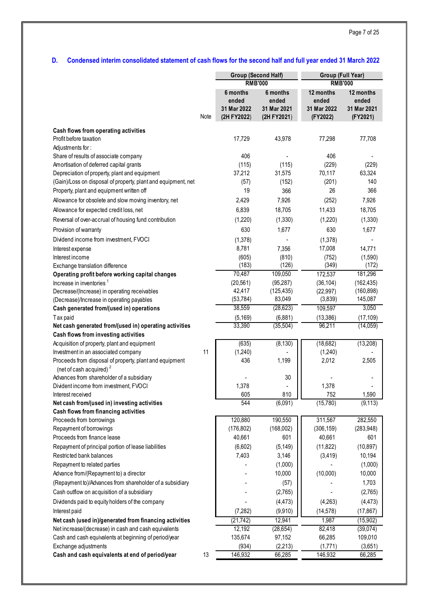## **D. Condensed interim consolidated statement of cash flows for the second half and full year ended 31 March 2022**

|                                                                                      |      | <b>Group (Second Half)</b><br><b>RMB'000</b> |                                     |                                  | Group (Full Year)<br><b>RMB'000</b> |  |  |
|--------------------------------------------------------------------------------------|------|----------------------------------------------|-------------------------------------|----------------------------------|-------------------------------------|--|--|
|                                                                                      |      | 6 months                                     | 6 months                            | 12 months                        | 12 months                           |  |  |
|                                                                                      | Note | ended<br>31 Mar 2022<br>(2H FY2022)          | ended<br>31 Mar 2021<br>(2H FY2021) | ended<br>31 Mar 2022<br>(FY2022) | ended<br>31 Mar 2021<br>(FY2021)    |  |  |
| Cash flows from operating activities                                                 |      |                                              |                                     |                                  |                                     |  |  |
| Profit before taxation                                                               |      | 17,729                                       | 43,978                              | 77,298                           | 77,708                              |  |  |
| Adjustments for:                                                                     |      |                                              |                                     |                                  |                                     |  |  |
| Share of results of associate company                                                |      | 406                                          |                                     | 406                              |                                     |  |  |
| Amortisation of deferred capital grants                                              |      | (115)                                        | (115)                               | (229)                            | (229)                               |  |  |
| Depreciation of property, plant and equipment                                        |      | 37,212                                       | 31,575                              | 70,117                           | 63,324                              |  |  |
| (Gain)/Loss on disposal of property, plant and equipment, net                        |      | (57)                                         | (152)                               | (201)                            | 140                                 |  |  |
| Property, plant and equipment written off                                            |      | 19                                           | 366                                 | 26                               | 366                                 |  |  |
| Allowance for obsolete and slow moving inventory, net                                |      | 2,429                                        | 7,926                               | (252)                            | 7,926                               |  |  |
| Allowance for expected credit loss, net                                              |      | 6,839                                        | 18,705                              | 11,433                           | 18,705                              |  |  |
| Reversal of over-accrual of housing fund contribution                                |      | (1,220)                                      | (1,330)                             | (1,220)                          | (1, 330)                            |  |  |
| Provision of warranty                                                                |      | 630                                          | 1,677                               | 630                              | 1,677                               |  |  |
| Dividend income from investment, FVOCI                                               |      | (1,378)                                      |                                     | (1,378)                          |                                     |  |  |
| Interest expense                                                                     |      | 8,781                                        | 7,356                               | 17,008                           | 14,771                              |  |  |
| Interest income                                                                      |      | (605)                                        | (810)                               | (752)                            | (1,590)                             |  |  |
| Exchange translation difference                                                      |      | (183)                                        | (126)                               | (349)                            | (172)                               |  |  |
| Operating profit before working capital changes                                      |      | 70,487                                       | 109,050                             | 172,537                          | 181,296                             |  |  |
| Increase in inventories <sup>1</sup>                                                 |      | (20, 561)                                    | (95, 287)                           | (36, 104)                        | (162, 435)                          |  |  |
| Decrease/(Increase) in operating receivables                                         |      | 42,417                                       | (125, 435)                          | (22, 997)                        | (160, 898)                          |  |  |
| (Decrease)/Increase in operating payables                                            |      | (53, 784)<br>38,559                          | 83,049<br>(28, 623)                 | (3,839)                          | 145,087<br>3,050                    |  |  |
| Cash generated from/(used in) operations                                             |      |                                              |                                     | 109,597                          |                                     |  |  |
| Tax paid<br>Net cash generated from/(used in) operating activities                   |      | (5, 169)<br>33,390                           | (6,881)<br>(35, 504)                | (13, 386)<br>96,211              | (17, 109)<br>(14,059)               |  |  |
| Cash flows from investing activities                                                 |      |                                              |                                     |                                  |                                     |  |  |
| Acquisition of property, plant and equipment                                         |      | (635)                                        | (8, 130)                            | (18, 682)                        | (13,208)                            |  |  |
| Investment in an associated company                                                  | 11   | (1,240)                                      |                                     | (1,240)                          |                                     |  |  |
| Proceeds from disposal of property, plant and equipment                              |      | 436                                          | 1,199                               | 2,012                            | 2,505                               |  |  |
| (net of cash acquired) <sup>2</sup>                                                  |      |                                              |                                     |                                  |                                     |  |  |
| Advances from shareholder of a subsidiary                                            |      |                                              | 30                                  |                                  |                                     |  |  |
| Divident income from investment, FVOCI                                               |      | 1,378                                        | $\blacksquare$                      | 1,378                            |                                     |  |  |
| Interest received                                                                    |      | 605                                          | 810                                 | 752                              | 1,590                               |  |  |
| Net cash from/(used in) investing activities<br>Cash flows from financing activities |      | 544                                          | (6,091)                             | (15,780)                         | (9, 113)                            |  |  |
| Proceeds from borrowings                                                             |      | 120,880                                      | 190,550                             | 311,567                          | 282,550                             |  |  |
| Repayment of borrowings                                                              |      | (176, 802)                                   | (168,002)                           | (306, 159)                       | (283, 948)                          |  |  |
| Proceeds from finance lease                                                          |      | 40,661                                       | 601                                 | 40,661                           | 601                                 |  |  |
| Repayment of principal portion of lease liabilities                                  |      | (6,602)                                      | (5, 149)                            | (11, 822)                        | (10, 897)                           |  |  |
| Restricted bank balances                                                             |      | 7,403                                        | 3,146                               | (3, 419)                         | 10,194                              |  |  |
| Repayment to related parties                                                         |      |                                              | (1,000)                             |                                  | (1,000)                             |  |  |
| Advance from/(Repayment to) a director                                               |      |                                              | 10,000                              | (10,000)                         | 10,000                              |  |  |
| (Repayment to)/Advances from shareholder of a subsidiary                             |      |                                              | (57)                                |                                  | 1,703                               |  |  |
| Cash outflow on acquisition of a subsidiary                                          |      |                                              | (2,765)                             |                                  | (2,765)                             |  |  |
| Dividends paid to equity holders of the company                                      |      |                                              | (4, 473)                            | (4,263)                          | (4, 473)                            |  |  |
| Interest paid                                                                        |      | (7, 282)                                     | (9,910)                             | (14, 578)                        | (17, 867)                           |  |  |
| Net cash (used in)/generated from financing activities                               |      | (21, 742)                                    | 12,941                              | 1,987                            | (15, 902)                           |  |  |
| Net increase/(decrease) in cash and cash equivalents                                 |      | 12,192                                       | (28, 654)                           | 82,418                           | (39, 074)                           |  |  |
| Cash and cash equivalents at beginning of period/year                                |      | 135,674                                      | 97,152                              | 66,285                           | 109,010                             |  |  |
| Exchange adjustments                                                                 |      | (934)                                        | (2,213)                             | (1,771)                          | (3,651)                             |  |  |
| Cash and cash equivalents at end of period/year                                      | 13   | 146,932                                      | 66,285                              | 146,932                          | 66,285                              |  |  |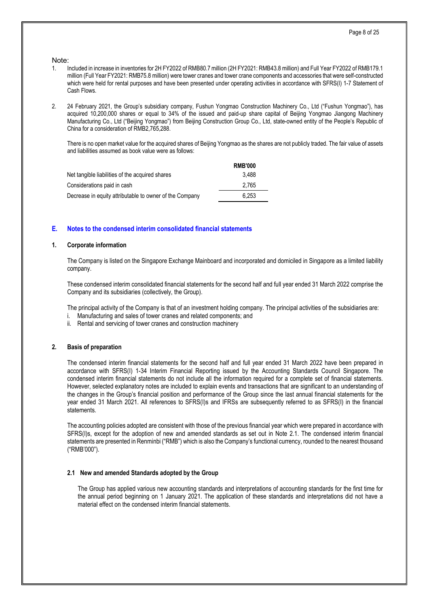#### Note:

- 1. Included in increase in inventories for 2H FY2022 of RMB80.7 million (2H FY2021: RMB43.8 million) and Full Year FY2022 of RMB179.1 million (Full Year FY2021: RMB75.8 million) were tower cranes and tower crane components and accessories that were self-constructed which were held for rental purposes and have been presented under operating activities in accordance with SFRS(I) 1-7 Statement of Cash Flows.
- 2. 24 February 2021, the Group's subsidiary company, Fushun Yongmao Construction Machinery Co., Ltd ("Fushun Yongmao"), has acquired 10,200,000 shares or equal to 34% of the issued and paid-up share capital of Beijing Yongmao Jiangong Machinery Manufacturing Co., Ltd ("Beijing Yongmao") from Beijing Construction Group Co., Ltd, state-owned entity of the People's Republic of China for a consideration of RMB2,765,288.

There is no open market value for the acquired shares of Beijing Yongmao as the shares are not publicly traded. The fair value of assets and liabilities assumed as book value were as follows:

|                                                         | <b>RMB'000</b> |
|---------------------------------------------------------|----------------|
| Net tangible liabilities of the acquired shares         | 3.488          |
| Considerations paid in cash                             | 2.765          |
| Decrease in equity attributable to owner of the Company | 6.253          |

#### **E. Notes to the condensed interim consolidated financial statements**

#### **1. Corporate information**

The Company is listed on the Singapore Exchange Mainboard and incorporated and domiciled in Singapore as a limited liability company.

These condensed interim consolidated financial statements for the second half and full year ended 31 March 2022 comprise the Company and its subsidiaries (collectively, the Group).

The principal activity of the Company is that of an investment holding company. The principal activities of the subsidiaries are:

- i. Manufacturing and sales of tower cranes and related components; and
- ii. Rental and servicing of tower cranes and construction machinery

#### **2. Basis of preparation**

The condensed interim financial statements for the second half and full year ended 31 March 2022 have been prepared in accordance with SFRS(I) 1-34 Interim Financial Reporting issued by the Accounting Standards Council Singapore. The condensed interim financial statements do not include all the information required for a complete set of financial statements. However, selected explanatory notes are included to explain events and transactions that are significant to an understanding of the changes in the Group's financial position and performance of the Group since the last annual financial statements for the year ended 31 March 2021. All references to SFRS(I)s and IFRSs are subsequently referred to as SFRS(I) in the financial statements.

The accounting policies adopted are consistent with those of the previous financial year which were prepared in accordance with SFRS(I)s, except for the adoption of new and amended standards as set out in Note 2.1. The condensed interim financial statements are presented in Renminbi ("RMB") which is also the Company's functional currency, rounded to the nearest thousand ("RMB'000").

#### **2.1 New and amended Standards adopted by the Group**

The Group has applied various new accounting standards and interpretations of accounting standards for the first time for the annual period beginning on 1 January 2021. The application of these standards and interpretations did not have a material effect on the condensed interim financial statements.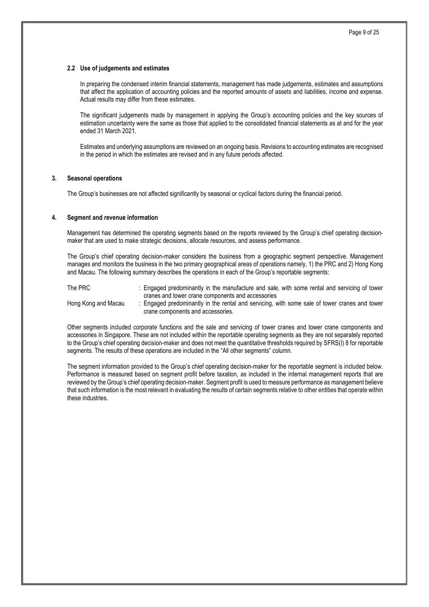#### **2.2 Use of judgements and estimates**

In preparing the condensed interim financial statements, management has made judgements, estimates and assumptions that affect the application of accounting policies and the reported amounts of assets and liabilities, income and expense. Actual results may differ from these estimates.

The significant judgements made by management in applying the Group's accounting policies and the key sources of estimation uncertainty were the same as those that applied to the consolidated financial statements as at and for the year ended 31 March 2021.

Estimates and underlying assumptions are reviewed on an ongoing basis. Revisions to accounting estimates are recognised in the period in which the estimates are revised and in any future periods affected.

#### **3. Seasonal operations**

The Group's businesses are not affected significantly by seasonal or cyclical factors during the financial period.

#### **4. Segment and revenue information**

Management has determined the operating segments based on the reports reviewed by the Group's chief operating decisionmaker that are used to make strategic decisions, allocate resources, and assess performance.

The Group's chief operating decision-maker considers the business from a geographic segment perspective. Management manages and monitors the business in the two primary geographical areas of operations namely, 1) the PRC and 2) Hong Kong and Macau. The following summary describes the operations in each of the Group's reportable segments:

The PRC : Engaged predominantly in the manufacture and sale, with some rental and servicing of tower cranes and tower crane components and accessories Hong Kong and Macau : Engaged predominantly in the rental and servicing, with some sale of tower cranes and tower crane components and accessories.

Other segments included corporate functions and the sale and servicing of tower cranes and tower crane components and accessories in Singapore. These are not included within the reportable operating segments as they are not separately reported to the Group's chief operating decision-maker and does not meet the quantitative thresholds required by SFRS(I) 8 for reportable segments. The results of these operations are included in the "All other segments" column.

The segment information provided to the Group's chief operating decision-maker for the reportable segment is included below. Performance is measured based on segment profit before taxation, as included in the internal management reports that are reviewed by the Group's chief operating decision-maker. Segment profit is used to measure performance as management believe that such information is the most relevant in evaluating the results of certain segments relative to other entities that operate within these industries.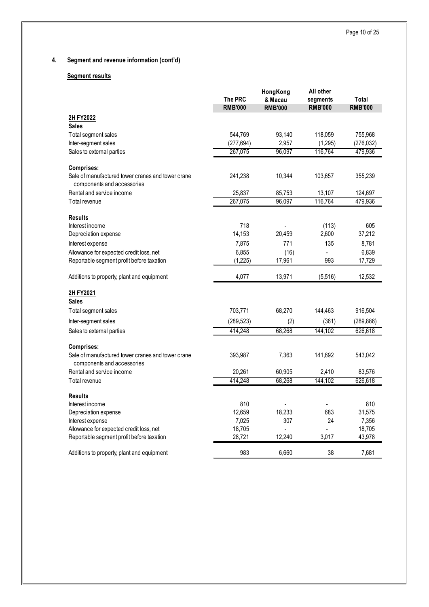## **4. Segment and revenue information (cont'd)**

## **Segment results**

|                                                                 | <b>The PRC</b><br><b>RMB'000</b> | HongKong<br>& Macau<br><b>RMB'000</b> | All other<br>segments<br><b>RMB'000</b> | Total<br><b>RMB'000</b> |
|-----------------------------------------------------------------|----------------------------------|---------------------------------------|-----------------------------------------|-------------------------|
|                                                                 |                                  |                                       |                                         |                         |
| 2H FY2022<br><b>Sales</b>                                       |                                  |                                       |                                         |                         |
| Total segment sales                                             | 544,769                          | 93,140                                | 118,059                                 | 755,968                 |
| Inter-segment sales                                             | (277, 694)                       | 2,957                                 | (1,295)                                 | (276,032)               |
| Sales to external parties                                       | 267,075                          | 96,097                                | 116,764                                 | 479,936                 |
|                                                                 |                                  |                                       |                                         |                         |
| Comprises:                                                      |                                  |                                       |                                         |                         |
| Sale of manufactured tower cranes and tower crane               | 241,238                          | 10,344                                | 103,657                                 | 355,239                 |
| components and accessories                                      |                                  |                                       |                                         |                         |
| Rental and service income<br>Total revenue                      | 25,837<br>267,075                | 85,753<br>96,097                      | 13,107<br>116,764                       | 124,697<br>479,936      |
|                                                                 |                                  |                                       |                                         |                         |
| <b>Results</b>                                                  |                                  |                                       |                                         |                         |
| Interest income                                                 | 718                              |                                       | (113)                                   | 605                     |
| Depreciation expense                                            | 14,153                           | 20,459                                | 2,600                                   | 37,212                  |
| Interest expense                                                | 7,875                            | 771                                   | 135                                     | 8,781                   |
| Allowance for expected credit loss, net                         | 6,855                            | (16)                                  |                                         | 6,839                   |
| Reportable segment profit before taxation                       | (1,225)                          | 17,961                                | 993                                     | 17,729                  |
| Additions to property, plant and equipment                      | 4,077                            | 13,971                                | (5,516)                                 | 12,532                  |
| 2H FY2021                                                       |                                  |                                       |                                         |                         |
| <b>Sales</b>                                                    |                                  |                                       |                                         |                         |
| Total segment sales                                             | 703,771                          | 68,270                                | 144,463                                 | 916,504                 |
| Inter-segment sales                                             | (289, 523)                       | (2)                                   | (361)                                   | (289, 886)              |
| Sales to external parties                                       | 414,248                          | 68,268                                | 144,102                                 | 626,618                 |
|                                                                 |                                  |                                       |                                         |                         |
| Comprises:<br>Sale of manufactured tower cranes and tower crane | 393,987                          | 7,363                                 | 141,692                                 | 543,042                 |
| components and accessories                                      |                                  |                                       |                                         |                         |
| Rental and service income                                       | 20,261                           | 60,905                                | 2,410                                   | 83,576                  |
| Total revenue                                                   | 414,248                          | 68,268                                | 144,102                                 | 626,618                 |
| <b>Results</b>                                                  |                                  |                                       |                                         |                         |
| Interest income                                                 | 810                              |                                       |                                         | 810                     |
| Depreciation expense                                            | 12,659                           | 18,233                                | 683                                     | 31,575                  |
| Interest expense                                                | 7,025                            | 307                                   | 24                                      | 7,356                   |
| Allowance for expected credit loss, net                         | 18,705                           |                                       |                                         | 18,705                  |
| Reportable segment profit before taxation                       | 28,721                           | 12,240                                | 3,017                                   | 43,978                  |
| Additions to property, plant and equipment                      | 983                              | 6.660                                 | 38                                      | 7.681                   |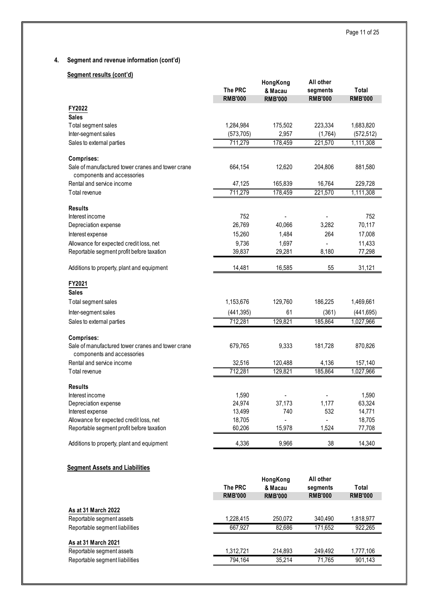## **4. Segment and revenue information (cont'd)**

## **Segment results (cont'd)**

|                                                                                 | <b>The PRC</b><br><b>RMB'000</b> | HongKong<br>& Macau<br><b>RMB'000</b> | All other<br>segments<br><b>RMB'000</b> | Total<br><b>RMB'000</b> |
|---------------------------------------------------------------------------------|----------------------------------|---------------------------------------|-----------------------------------------|-------------------------|
| FY2022                                                                          |                                  |                                       |                                         |                         |
| <b>Sales</b>                                                                    |                                  |                                       |                                         |                         |
| Total segment sales                                                             | 1,284,984                        | 175,502                               | 223,334                                 | 1,683,820               |
| Inter-segment sales                                                             | (573, 705)                       | 2,957                                 | (1,764)                                 | (572, 512)              |
| Sales to external parties                                                       | 711,279                          | 178,459                               | 221,570                                 | 1,111,308               |
| <b>Comprises:</b>                                                               |                                  |                                       |                                         |                         |
| Sale of manufactured tower cranes and tower crane                               | 664,154                          | 12,620                                | 204,806                                 | 881,580                 |
| components and accessories                                                      |                                  |                                       |                                         |                         |
| Rental and service income                                                       | 47,125                           | 165,839                               | 16,764                                  | 229,728                 |
| Total revenue                                                                   | 711,279                          | 178,459                               | 221,570                                 | 1,111,308               |
| <b>Results</b>                                                                  |                                  |                                       |                                         |                         |
| Interest income                                                                 | 752                              |                                       |                                         | 752                     |
| Depreciation expense                                                            | 26,769                           | 40,066                                | 3,282                                   | 70,117                  |
| Interest expense                                                                | 15,260                           | 1,484                                 | 264                                     | 17,008                  |
| Allowance for expected credit loss, net                                         | 9,736                            | 1,697                                 |                                         | 11,433                  |
| Reportable segment profit before taxation                                       | 39,837                           | 29,281                                | 8,180                                   | 77,298                  |
| Additions to property, plant and equipment                                      | 14,481                           | 16,585                                | 55                                      | 31,121                  |
| FY2021                                                                          |                                  |                                       |                                         |                         |
| <b>Sales</b>                                                                    |                                  |                                       |                                         |                         |
| Total segment sales                                                             | 1,153,676                        | 129,760                               | 186,225                                 | 1,469,661               |
| Inter-segment sales                                                             | (441, 395)                       | 61                                    | (361)                                   | (441, 695)              |
| Sales to external parties                                                       | 712,281                          | 129,821                               | 185,864                                 | 1,027,966               |
| Comprises:                                                                      |                                  |                                       |                                         |                         |
| Sale of manufactured tower cranes and tower crane<br>components and accessories | 679,765                          | 9,333                                 | 181,728                                 | 870,826                 |
| Rental and service income                                                       | 32,516                           | 120,488                               | 4,136                                   | 157,140                 |
| Total revenue                                                                   | 712,281                          | 129,821                               | 185,864                                 | 1,027,966               |
| <b>Results</b>                                                                  |                                  |                                       |                                         |                         |
| Interest income                                                                 | 1,590                            |                                       |                                         | 1,590                   |
| Depreciation expense                                                            | 24,974                           | 37,173                                | 1,177                                   | 63,324                  |
| Interest expense                                                                | 13,499                           | 740                                   | 532                                     | 14,771                  |
| Allowance for expected credit loss, net                                         | 18,705                           |                                       |                                         | 18,705                  |
| Reportable segment profit before taxation                                       | 60,206                           | 15,978                                | 1,524                                   | 77,708                  |
| Additions to property, plant and equipment                                      | 4,336                            | 9,966                                 | 38                                      | 14,340                  |
| <b>Segment Assets and Liabilities</b>                                           |                                  |                                       |                                         |                         |

|                                | The PRC<br><b>RMB'000</b> | HongKong<br>& Macau<br><b>RMB'000</b> | All other<br>segments<br><b>RMB'000</b> | Total<br><b>RMB'000</b> |
|--------------------------------|---------------------------|---------------------------------------|-----------------------------------------|-------------------------|
| As at 31 March 2022            |                           |                                       |                                         |                         |
| Reportable segment assets      | 1.228.415                 | 250.072                               | 340.490                                 | 1,818,977               |
| Reportable segment liabilities | 667.927                   | 82.686                                | 171.652                                 | 922,265                 |
| As at 31 March 2021            |                           |                                       |                                         |                         |
| Reportable segment assets      | 1,312,721                 | 214.893                               | 249.492                                 | 1,777,106               |
| Reportable segment liabilities | 794.164                   | 35.214                                | 71.765                                  | 901.143                 |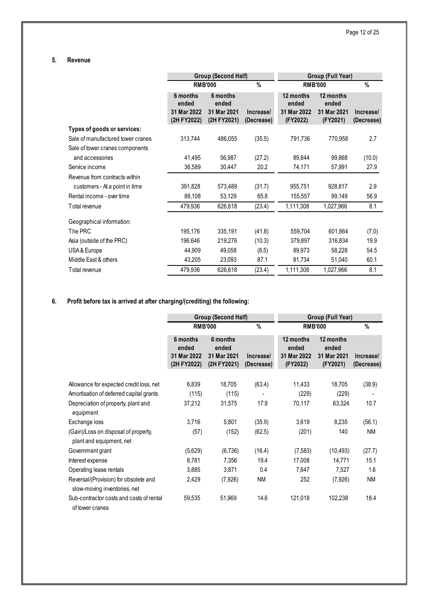## **5. Revenue**

|                                   |                                                 | Group (Second Half)                             |                         | Group (Full Year)                             |                                               |                         |  |
|-----------------------------------|-------------------------------------------------|-------------------------------------------------|-------------------------|-----------------------------------------------|-----------------------------------------------|-------------------------|--|
|                                   |                                                 | <b>RMB'000</b>                                  | $\%$                    |                                               | <b>RMB'000</b>                                | %                       |  |
|                                   | 6 months<br>ended<br>31 Mar 2022<br>(2H FY2022) | 6 months<br>ended<br>31 Mar 2021<br>(2H FY2021) | Increase/<br>(Decrease) | 12 months<br>ended<br>31 Mar 2022<br>(FY2022) | 12 months<br>ended<br>31 Mar 2021<br>(FY2021) | Increase/<br>(Decrease) |  |
| Types of goods or services:       |                                                 |                                                 |                         |                                               |                                               |                         |  |
| Sale of manufactured tower cranes | 313,744                                         | 486,055                                         | (35.5)                  | 791,736                                       | 770,958                                       | 2.7                     |  |
| Sale of tower cranes components   |                                                 |                                                 |                         |                                               |                                               |                         |  |
| and accessories                   | 41,495                                          | 56,987                                          | (27.2)                  | 89,844                                        | 99,868                                        | (10.0)                  |  |
| Service income                    | 36,589                                          | 30,447                                          | 20.2                    | 74,171                                        | 57,991                                        | 27.9                    |  |
| Revenue from contracts within     |                                                 |                                                 |                         |                                               |                                               |                         |  |
| customers - At a point in time    | 391,828                                         | 573,489                                         | (31.7)                  | 955,751                                       | 928,817                                       | 2.9                     |  |
| Rental income - over time         | 88,108                                          | 53,129                                          | 65.8                    | 155,557                                       | 99,149                                        | 56.9                    |  |
| Total revenue                     | 479,936                                         | 626,618                                         | (23.4)                  | 1,111,308                                     | 1,027,966                                     | 8.1                     |  |
| Geographical information:         |                                                 |                                                 |                         |                                               |                                               |                         |  |
| The PRC                           | 195,176                                         | 335,191                                         | (41.8)                  | 559,704                                       | 601,864                                       | (7.0)                   |  |
| Asia (outside of the PRC)         | 196,646                                         | 219,276                                         | (10.3)                  | 379,897                                       | 316,834                                       | 19.9                    |  |
| USA & Europe                      | 44,909                                          | 49,058                                          | (8.5)                   | 89,973                                        | 58,228                                        | 54.5                    |  |
| Middle East & others              | 43,205                                          | 23,093                                          | 87.1                    | 81,734                                        | 51,040                                        | 60.1                    |  |
| Total revenue                     | 479,936                                         | 626,618                                         | (23.4)                  | 1,111,308                                     | 1,027,966                                     | 8.1                     |  |

## **6. Profit before tax is arrived at after charging/(crediting) the following:**

|                                                                       |                                                 | <b>Group (Second Half)</b>                      |                          | Group (Full Year)                             |                                               |                         |  |
|-----------------------------------------------------------------------|-------------------------------------------------|-------------------------------------------------|--------------------------|-----------------------------------------------|-----------------------------------------------|-------------------------|--|
|                                                                       |                                                 | <b>RMB'000</b>                                  | $\%$                     | <b>RMB'000</b>                                | $\%$                                          |                         |  |
|                                                                       | 6 months<br>ended<br>31 Mar 2022<br>(2H FY2022) | 6 months<br>ended<br>31 Mar 2021<br>(2H FY2021) | Increase/<br>(Decrease)  | 12 months<br>ended<br>31 Mar 2022<br>(FY2022) | 12 months<br>ended<br>31 Mar 2021<br>(FY2021) | Increase/<br>(Decrease) |  |
|                                                                       |                                                 |                                                 |                          |                                               |                                               |                         |  |
| Allowance for expected credit loss, net                               | 6,839                                           | 18,705                                          | (63.4)                   | 11,433                                        | 18,705                                        | (38.9)                  |  |
| Amortisation of deferred capital grants                               | (115)                                           | (115)                                           | $\overline{\phantom{a}}$ | (229)                                         | (229)                                         | $\blacksquare$          |  |
| Depreciation of property, plant and<br>equipment                      | 37,212                                          | 31,575                                          | 17.9                     | 70,117                                        | 63,324                                        | 10.7                    |  |
| Exchange loss                                                         | 3,716                                           | 5,801                                           | (35.9)                   | 3,619                                         | 8,235                                         | (56.1)                  |  |
| (Gain)/Loss on disposal of property,<br>plant and equipment, net      | (57)                                            | (152)                                           | (62.5)                   | (201)                                         | 140                                           | <b>NM</b>               |  |
| Government grant                                                      | (5,629)                                         | (6,736)                                         | (16.4)                   | (7, 583)                                      | (10, 493)                                     | (27.7)                  |  |
| Interest expense                                                      | 8,781                                           | 7,356                                           | 19.4                     | 17,008                                        | 14,771                                        | 15.1                    |  |
| Operating lease rentals                                               | 3,885                                           | 3,871                                           | 0.4                      | 7,647                                         | 7,527                                         | 1.6                     |  |
| Reversal/(Provision) for obsolete and<br>slow-moving inventories, net | 2,429                                           | (7,926)                                         | <b>NM</b>                | 252                                           | (7,926)                                       | <b>NM</b>               |  |
| Sub-contractor costs and costs of rental<br>of tower cranes           | 59,535                                          | 51,969                                          | 14.6                     | 121,018                                       | 102,238                                       | 18.4                    |  |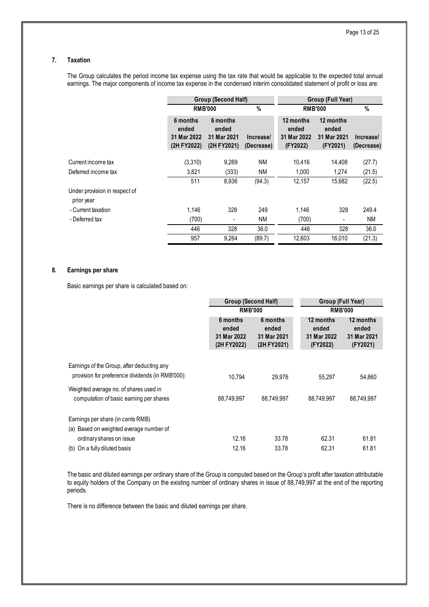#### **7. Taxation**

The Group calculates the period income tax expense using the tax rate that would be applicable to the expected total annual earnings. The major components of income tax expense in the condensed interim consolidated statement of profit or loss are:

|                                             | Group (Second Half)                             |                                                 |                         | Group (Full Year)                             |                                               |                         |
|---------------------------------------------|-------------------------------------------------|-------------------------------------------------|-------------------------|-----------------------------------------------|-----------------------------------------------|-------------------------|
|                                             |                                                 | <b>RMB'000</b>                                  | $\%$                    | <b>RMB'000</b>                                | $\%$                                          |                         |
|                                             | 6 months<br>ended<br>31 Mar 2022<br>(2H FY2022) | 6 months<br>ended<br>31 Mar 2021<br>(2H FY2021) | Increase/<br>(Decrease) | 12 months<br>ended<br>31 Mar 2022<br>(FY2022) | 12 months<br>ended<br>31 Mar 2021<br>(FY2021) | Increase/<br>(Decrease) |
| Current income tax                          | (3,310)                                         | 9,269                                           | <b>NM</b>               | 10,416                                        | 14.408                                        | (27.7)                  |
| Deferred income tax                         | 3,821                                           | (333)                                           | <b>NM</b>               | 1,000                                         | 1,274                                         | (21.5)                  |
|                                             | 511                                             | 8,936                                           | (94.3)                  | 12,157                                        | 15,682                                        | (22.5)                  |
| Under provision in respect of<br>prior year |                                                 |                                                 |                         |                                               |                                               |                         |
| - Current taxation                          | 1.146                                           | 328                                             | 249                     | 1,146                                         | 328                                           | 249.4                   |
| - Deferred tax                              | (700)                                           | ٠                                               | <b>NM</b>               | (700)                                         | ۰                                             | <b>NM</b>               |
|                                             | 446                                             | 328                                             | 36.0                    | 446                                           | 328                                           | 36.0                    |
|                                             | 957                                             | 9,264                                           | (89.7)                  | 12,603                                        | 16,010                                        | (21.3)                  |

#### **8. Earnings per share**

Basic earnings per share is calculated based on:

|                                                                                                | Group (Second Half)                             |                                                 | Group (Full Year)                             |                                               |
|------------------------------------------------------------------------------------------------|-------------------------------------------------|-------------------------------------------------|-----------------------------------------------|-----------------------------------------------|
|                                                                                                | <b>RMB'000</b>                                  |                                                 | <b>RMB'000</b>                                |                                               |
|                                                                                                | 6 months<br>ended<br>31 Mar 2022<br>(2H FY2022) | 6 months<br>ended<br>31 Mar 2021<br>(2H FY2021) | 12 months<br>ended<br>31 Mar 2022<br>(FY2022) | 12 months<br>ended<br>31 Mar 2021<br>(FY2021) |
| Earnings of the Group, after deducting any<br>provision for preference dividends (in RMB'000): | 10.794                                          | 29.976                                          | 55,297                                        | 54,860                                        |
| Weighted average no. of shares used in<br>computation of basic earning per shares              | 88,749,997                                      | 88.749.997                                      | 88.749.997                                    | 88,749,997                                    |
| Earnings per share (in cents RMB)<br>(a) Based on weighted average number of                   |                                                 |                                                 |                                               |                                               |
| ordinary shares on issue                                                                       | 12.16                                           | 33.78                                           | 62.31                                         | 61.81                                         |
| (b) On a fully diluted basis                                                                   | 12.16                                           | 33.78                                           | 62.31                                         | 61.81                                         |

The basic and diluted earnings per ordinary share of the Group is computed based on the Group's profit after taxation attributable to equity holders of the Company on the existing number of ordinary shares in issue of 88,749,997 at the end of the reporting periods.

There is no difference between the basic and diluted earnings per share.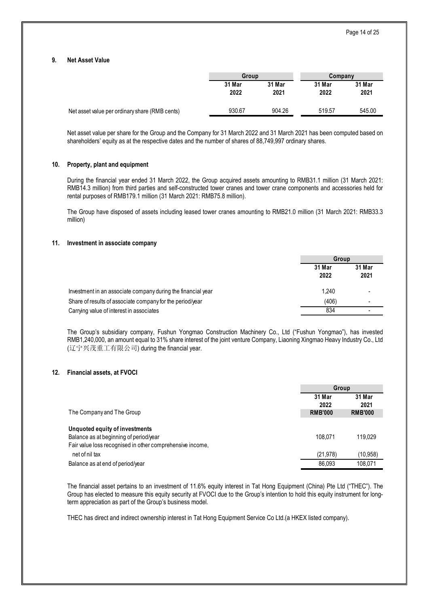#### **9. Net Asset Value**

|                                                | Group          |                | Company        |                |
|------------------------------------------------|----------------|----------------|----------------|----------------|
|                                                | 31 Mar<br>2022 | 31 Mar<br>2021 | 31 Mar<br>2022 | 31 Mar<br>2021 |
| Net asset value per ordinary share (RMB cents) | 930.67         | 904.26         | 519.57         | 545.00         |

Net asset value per share for the Group and the Company for 31 March 2022 and 31 March 2021 has been computed based on shareholders' equity as at the respective dates and the number of shares of 88,749,997 ordinary shares.

#### **10. Property, plant and equipment**

During the financial year ended 31 March 2022, the Group acquired assets amounting to RMB31.1 million (31 March 2021: RMB14.3 million) from third parties and self-constructed tower cranes and tower crane components and accessories held for rental purposes of RMB179.1 million (31 March 2021: RMB75.8 million).

The Group have disposed of assets including leased tower cranes amounting to RMB21.0 million (31 March 2021: RMB33.3 million)

#### **11. Investment in associate company**

|                                                              | Group          |                |
|--------------------------------------------------------------|----------------|----------------|
|                                                              | 31 Mar<br>2022 | 31 Mar<br>2021 |
| Investment in an associate company during the financial year | 1.240          |                |
| Share of results of associate company for the period/year    | (406)          |                |
| Carrying value of interest in associates                     | 834            |                |

The Group's subsidiary company, Fushun Yongmao Construction Machinery Co., Ltd ("Fushun Yongmao"), has invested RMB1,240,000, an amount equal to 31% share interest of the joint venture Company, Liaoning Xingmao Heavy Industry Co., Ltd (辽宁兴茂重工有限公司) during the financial year.

#### **12. Financial assets, at FVOCI**

|                                                                             |                                  | Group                            |  |
|-----------------------------------------------------------------------------|----------------------------------|----------------------------------|--|
| The Company and The Group                                                   | 31 Mar<br>2022<br><b>RMB'000</b> | 31 Mar<br>2021<br><b>RMB'000</b> |  |
| <b>Unquoted equity of investments</b>                                       |                                  |                                  |  |
| Balance as at beginning of period/year                                      | 108.071                          | 119.029                          |  |
| Fair value loss recognised in other comprehensive income,<br>net of nil tax | (21.978)                         | (10.958)                         |  |
| Balance as at end of period/year                                            | 86.093                           | 108.071                          |  |

The financial asset pertains to an investment of 11.6% equity interest in Tat Hong Equipment (China) Pte Ltd ("THEC"). The Group has elected to measure this equity security at FVOCI due to the Group's intention to hold this equity instrument for longterm appreciation as part of the Group's business model.

THEC has direct and indirect ownership interest in Tat Hong Equipment Service Co Ltd.(a HKEX listed company).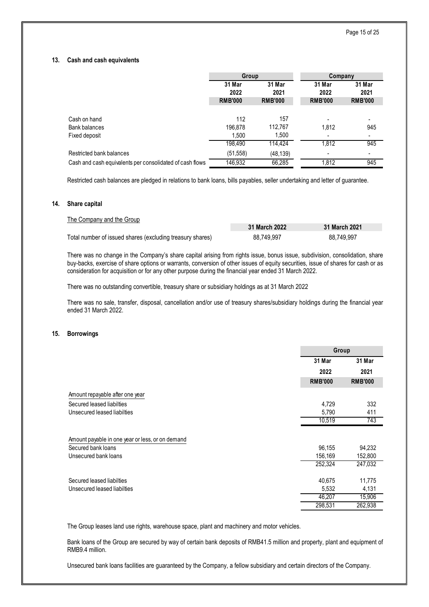#### **13. Cash and cash equivalents**

|                                                          | Group          |                | Company        |                |
|----------------------------------------------------------|----------------|----------------|----------------|----------------|
|                                                          | 31 Mar         | 31 Mar         | 31 Mar         | 31 Mar         |
|                                                          | 2022           | 2021           | 2022           | 2021           |
|                                                          | <b>RMB'000</b> | <b>RMB'000</b> | <b>RMB'000</b> | <b>RMB'000</b> |
|                                                          |                |                |                |                |
| Cash on hand                                             | 112            | 157            |                |                |
| Bank balances                                            | 196,878        | 112,767        | 1,812          | 945            |
| Fixed deposit                                            | 1.500          | 1,500          |                |                |
|                                                          | 198,490        | 114.424        | 1,812          | 945            |
| Restricted bank balances                                 | (51, 558)      | (48, 139)      |                |                |
| Cash and cash equivalents per consolidated of cash flows | 146,932        | 66,285         | 1,812          | 945            |

Restricted cash balances are pledged in relations to bank loans, bills payables, seller undertaking and letter of guarantee.

#### **14. Share capital**

| The Company and the Group                                 |               |               |
|-----------------------------------------------------------|---------------|---------------|
|                                                           | 31 March 2022 | 31 March 2021 |
| Total number of issued shares (excluding treasury shares) | 88,749,997    | 88.749.997    |

There was no change in the Company's share capital arising from rights issue, bonus issue, subdivision, consolidation, share buy-backs, exercise of share options or warrants, conversion of other issues of equity securities, issue of shares for cash or as consideration for acquisition or for any other purpose during the financial year ended 31 March 2022.

There was no outstanding convertible, treasury share or subsidiary holdings as at 31 March 2022

There was no sale, transfer, disposal, cancellation and/or use of treasury shares/subsidiary holdings during the financial year ended 31 March 2022.

#### **15. Borrowings**

|                                                  |                | Group          |  |
|--------------------------------------------------|----------------|----------------|--|
|                                                  | 31 Mar         | 31 Mar         |  |
|                                                  | 2022           | 2021           |  |
|                                                  | <b>RMB'000</b> | <b>RMB'000</b> |  |
| Amount repayable after one year                  |                |                |  |
| Secured leased liabilties                        | 4,729          | 332            |  |
| Unsecured leased liabilties                      | 5,790          | 411            |  |
|                                                  | 10,519         | 743            |  |
| Amount payable in one year or less, or on demand |                |                |  |
| Secured bank loans                               | 96,155         | 94,232         |  |
| Unsecured bank loans                             | 156,169        | 152,800        |  |
|                                                  | 252,324        | 247,032        |  |
| Secured leased liabilties                        | 40,675         | 11,775         |  |
| Unsecured leased liabilties                      | 5,532          | 4,131          |  |
|                                                  | 46,207         | 15,906         |  |
|                                                  | 298,531        | 262,938        |  |

The Group leases land use rights, warehouse space, plant and machinery and motor vehicles.

Bank loans of the Group are secured by way of certain bank deposits of RMB41.5 million and property, plant and equipment of RMB9.4 million.

Unsecured bank loans facilities are guaranteed by the Company, a fellow subsidiary and certain directors of the Company.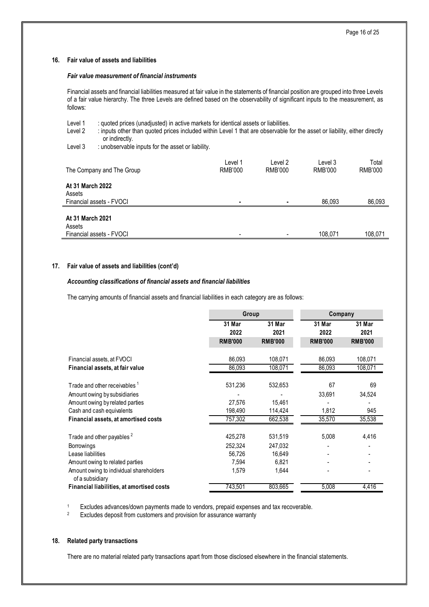#### **16. Fair value of assets and liabilities**

#### *Fair value measurement of financial instruments*

Financial assets and financial liabilities measured at fair value in the statements of financial position are grouped into three Levels of a fair value hierarchy. The three Levels are defined based on the observability of significant inputs to the measurement, as follows:

| Level 1<br>Level 2         | : quoted prices (unadjusted) in active markets for identical assets or liabilities.<br>: inputs other than quoted prices included within Level 1 that are observable for the asset or liability, either directly<br>or indirectly. |                    |                    |                    |                  |  |  |
|----------------------------|------------------------------------------------------------------------------------------------------------------------------------------------------------------------------------------------------------------------------------|--------------------|--------------------|--------------------|------------------|--|--|
| Level 3                    | : unobservable inputs for the asset or liability.                                                                                                                                                                                  |                    |                    |                    |                  |  |  |
|                            | The Company and The Group                                                                                                                                                                                                          | Level 1<br>RMB'000 | Level 2<br>RMB'000 | Level 3<br>RMB'000 | Total<br>RMB'000 |  |  |
| At 31 March 2022<br>Assets | Financial assets - FVOCI                                                                                                                                                                                                           | $\blacksquare$     |                    | 86.093             | 86,093           |  |  |
| At 31 March 2021<br>Assets | Financial assets - FVOCI                                                                                                                                                                                                           |                    |                    | 108.071            | 108.071          |  |  |

#### **17. Fair value of assets and liabilities (cont'd)**

#### *Accounting classifications of financial assets and financial liabilities*

The carrying amounts of financial assets and financial liabilities in each category are as follows:

|                                                            | Group          |                | Company        |                |
|------------------------------------------------------------|----------------|----------------|----------------|----------------|
|                                                            | 31 Mar<br>2022 | 31 Mar<br>2021 | 31 Mar<br>2022 | 31 Mar<br>2021 |
|                                                            | <b>RMB'000</b> | <b>RMB'000</b> | <b>RMB'000</b> | <b>RMB'000</b> |
| Financial assets, at FVOCI                                 | 86,093         | 108,071        | 86,093         | 108,071        |
| Financial assets, at fair value                            | 86,093         | 108,071        | 86,093         | 108,071        |
| Trade and other receivables <sup>1</sup>                   | 531,236        | 532,653        | 67             | 69             |
| Amount owing by subsidiaries                               |                |                | 33,691         | 34,524         |
| Amount owing by related parties                            | 27,576         | 15,461         |                |                |
| Cash and cash equivalents                                  | 198,490        | 114,424        | 1,812          | 945            |
| Financial assets, at amortised costs                       | 757,302        | 662,538        | 35,570         | 35,538         |
| Trade and other payables <sup>2</sup>                      | 425,278        | 531,519        | 5,008          | 4,416          |
| <b>Borrowings</b>                                          | 252,324        | 247,032        |                |                |
| Lease liabilities                                          | 56,726         | 16,649         |                |                |
| Amount owing to related parties                            | 7,594          | 6,821          |                |                |
| Amount owing to individual shareholders<br>of a subsidiary | 1,579          | 1,644          |                |                |
| Financial liabilities, at amortised costs                  | 743,501        | 803,665        | 5,008          | 4,416          |

<sup>1</sup> Excludes advances/down payments made to vendors, prepaid expenses and tax recoverable.<br><sup>2</sup> Excludes deposit from customers and provision for assurance warranty

Excludes deposit from customers and provision for assurance warranty

#### **18. Related party transactions**

There are no material related party transactions apart from those disclosed elsewhere in the financial statements.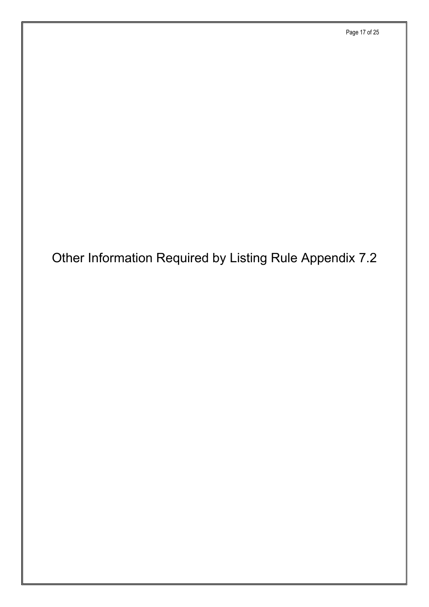# Other Information Required by Listing Rule Appendix 7.2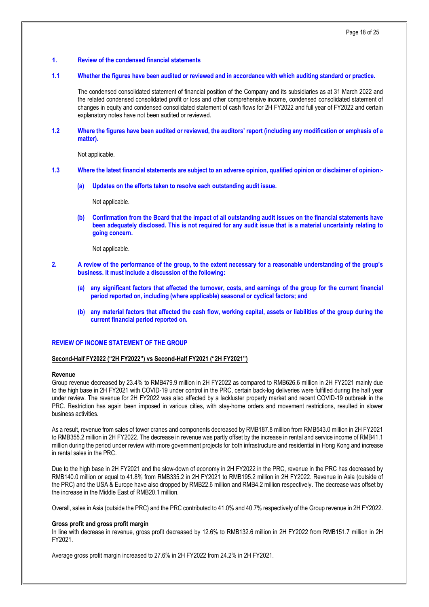#### **1. Review of the condensed financial statements**

#### **1.1 Whether the figures have been audited or reviewed and in accordance with which auditing standard or practice.**

The condensed consolidated statement of financial position of the Company and its subsidiaries as at 31 March 2022 and the related condensed consolidated profit or loss and other comprehensive income, condensed consolidated statement of changes in equity and condensed consolidated statement of cash flows for 2H FY2022 and full year of FY2022 and certain explanatory notes have not been audited or reviewed.

**1.2 Where the figures have been audited or reviewed, the auditors' report (including any modification or emphasis of a matter).**

Not applicable.

#### **1.3 Where the latest financial statements are subject to an adverse opinion, qualified opinion or disclaimer of opinion:-**

**(a) Updates on the efforts taken to resolve each outstanding audit issue.**

Not applicable.

**(b) Confirmation from the Board that the impact of all outstanding audit issues on the financial statements have been adequately disclosed. This is not required for any audit issue that is a material uncertainty relating to going concern.**

Not applicable.

- **2. A review of the performance of the group, to the extent necessary for a reasonable understanding of the group's business. It must include a discussion of the following:**
	- **(a) any significant factors that affected the turnover, costs, and earnings of the group for the current financial period reported on, including (where applicable) seasonal or cyclical factors; and**
	- **(b) any material factors that affected the cash flow, working capital, assets or liabilities of the group during the current financial period reported on.**

#### **REVIEW OF INCOME STATEMENT OF THE GROUP**

#### **Second-Half FY2022 ("2H FY2022") vs Second-Half FY2021 ("2H FY2021")**

#### **Revenue**

Group revenue decreased by 23.4% to RMB479.9 million in 2H FY2022 as compared to RMB626.6 million in 2H FY2021 mainly due to the high base in 2H FY2021 with COVID-19 under control in the PRC, certain back-log deliveries were fulfilled during the half year under review. The revenue for 2H FY2022 was also affected by a lackluster property market and recent COVID-19 outbreak in the PRC. Restriction has again been imposed in various cities, with stay-home orders and movement restrictions, resulted in slower business activities.

As a result, revenue from sales of tower cranes and components decreased by RMB187.8 million from RMB543.0 million in 2H FY2021 to RMB355.2 million in 2H FY2022. The decrease in revenue was partly offset by the increase in rental and service income of RMB41.1 million during the period under review with more government projects for both infrastructure and residential in Hong Kong and increase in rental sales in the PRC.

Due to the high base in 2H FY2021 and the slow-down of economy in 2H FY2022 in the PRC, revenue in the PRC has decreased by RMB140.0 million or equal to 41.8% from RMB335.2 in 2H FY2021 to RMB195.2 million in 2H FY2022. Revenue in Asia (outside of the PRC) and the USA & Europe have also dropped by RMB22.6 million and RMB4.2 million respectively. The decrease was offset by the increase in the Middle East of RMB20.1 million.

Overall, sales in Asia (outside the PRC) and the PRC contributed to 41.0% and 40.7% respectively of the Group revenue in 2H FY2022.

#### **Gross profit and gross profit margin**

In line with decrease in revenue, gross profit decreased by 12.6% to RMB132.6 million in 2H FY2022 from RMB151.7 million in 2H FY2021.

Average gross profit margin increased to 27.6% in 2H FY2022 from 24.2% in 2H FY2021.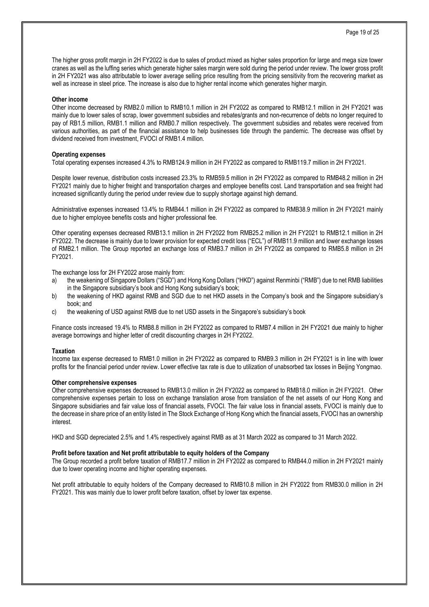The higher gross profit margin in 2H FY2022 is due to sales of product mixed as higher sales proportion for large and mega size tower cranes as well as the luffing series which generate higher sales margin were sold during the period under review. The lower gross profit in 2H FY2021 was also attributable to lower average selling price resulting from the pricing sensitivity from the recovering market as well as increase in steel price. The increase is also due to higher rental income which generates higher margin.

#### **Other income**

Other income decreased by RMB2.0 million to RMB10.1 million in 2H FY2022 as compared to RMB12.1 million in 2H FY2021 was mainly due to lower sales of scrap, lower government subsidies and rebates/grants and non-recurrence of debts no longer required to pay of RB1.5 million, RMB1.1 million and RMB0.7 million respectively. The government subsidies and rebates were received from various authorities, as part of the financial assistance to help businesses tide through the pandemic. The decrease was offset by dividend received from investment, FVOCI of RMB1.4 million.

#### **Operating expenses**

Total operating expenses increased 4.3% to RMB124.9 million in 2H FY2022 as compared to RMB119.7 million in 2H FY2021.

Despite lower revenue, distribution costs increased 23.3% to RMB59.5 million in 2H FY2022 as compared to RMB48.2 million in 2H FY2021 mainly due to higher freight and transportation charges and employee benefits cost. Land transportation and sea freight had increased significantly during the period under review due to supply shortage against high demand.

Administrative expenses increased 13.4% to RMB44.1 million in 2H FY2022 as compared to RMB38.9 million in 2H FY2021 mainly due to higher employee benefits costs and higher professional fee.

Other operating expenses decreased RMB13.1 million in 2H FY2022 from RMB25.2 million in 2H FY2021 to RMB12.1 million in 2H FY2022. The decrease is mainly due to lower provision for expected credit loss ("ECL") of RMB11.9 million and lower exchange losses of RMB2.1 million. The Group reported an exchange loss of RMB3.7 million in 2H FY2022 as compared to RMB5.8 million in 2H FY2021.

The exchange loss for 2H FY2022 arose mainly from:

- a) the weakening of Singapore Dollars ("SGD") and Hong Kong Dollars ("HKD") against Renminbi ("RMB") due to net RMB liabilities in the Singapore subsidiary's book and Hong Kong subsidiary's book;
- b) the weakening of HKD against RMB and SGD due to net HKD assets in the Company's book and the Singapore subsidiary's book; and
- c) the weakening of USD against RMB due to net USD assets in the Singapore's subsidiary's book

Finance costs increased 19.4% to RMB8.8 million in 2H FY2022 as compared to RMB7.4 million in 2H FY2021 due mainly to higher average borrowings and higher letter of credit discounting charges in 2H FY2022.

#### **Taxation**

Income tax expense decreased to RMB1.0 million in 2H FY2022 as compared to RMB9.3 million in 2H FY2021 is in line with lower profits for the financial period under review. Lower effective tax rate is due to utilization of unabsorbed tax losses in Beijing Yongmao.

#### **Other comprehensive expenses**

Other comprehensive expenses decreased to RMB13.0 million in 2H FY2022 as compared to RMB18.0 million in 2H FY2021. Other comprehensive expenses pertain to loss on exchange translation arose from translation of the net assets of our Hong Kong and Singapore subsidiaries and fair value loss of financial assets, FVOCI. The fair value loss in financial assets, FVOCI is mainly due to the decrease in share price of an entity listed in The Stock Exchange of Hong Kong which the financial assets, FVOCI has an ownership interest.

HKD and SGD depreciated 2.5% and 1.4% respectively against RMB as at 31 March 2022 as compared to 31 March 2022.

#### **Profit before taxation and Net profit attributable to equity holders of the Company**

The Group recorded a profit before taxation of RMB17.7 million in 2H FY2022 as compared to RMB44.0 million in 2H FY2021 mainly due to lower operating income and higher operating expenses.

Net profit attributable to equity holders of the Company decreased to RMB10.8 million in 2H FY2022 from RMB30.0 million in 2H FY2021. This was mainly due to lower profit before taxation, offset by lower tax expense.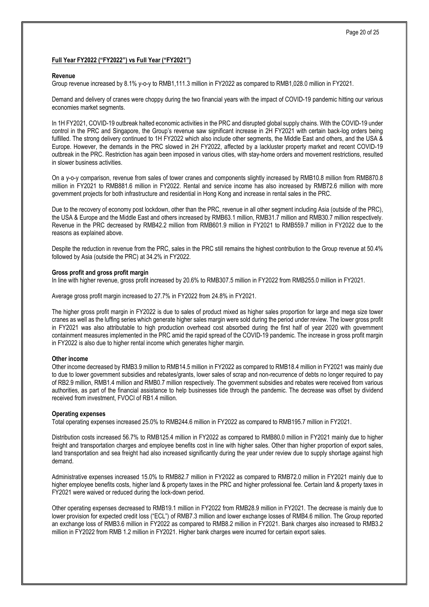#### **Full Year FY2022 ("FY2022") vs Full Year ("FY2021")**

#### **Revenue**

Group revenue increased by 8.1% y-o-y to RMB1,111.3 million in FY2022 as compared to RMB1,028.0 million in FY2021.

Demand and delivery of cranes were choppy during the two financial years with the impact of COVID-19 pandemic hitting our various economies market segments.

In 1H FY2021, COVID-19 outbreak halted economic activities in the PRC and disrupted global supply chains. With the COVID-19 under control in the PRC and Singapore, the Group's revenue saw significant increase in 2H FY2021 with certain back-log orders being fulfilled. The strong delivery continued to 1H FY2022 which also include other segments, the Middle East and others, and the USA & Europe. However, the demands in the PRC slowed in 2H FY2022, affected by a lackluster property market and recent COVID-19 outbreak in the PRC. Restriction has again been imposed in various cities, with stay-home orders and movement restrictions, resulted in slower business activities.

On a y-o-y comparison, revenue from sales of tower cranes and components slightly increased by RMB10.8 million from RMB870.8 million in FY2021 to RMB881.6 million in FY2022. Rental and service income has also increased by RMB72.6 million with more government projects for both infrastructure and residential in Hong Kong and increase in rental sales in the PRC.

Due to the recovery of economy post lockdown, other than the PRC, revenue in all other segment including Asia (outside of the PRC), the USA & Europe and the Middle East and others increased by RMB63.1 million, RMB31.7 million and RMB30.7 million respectively. Revenue in the PRC decreased by RMB42.2 million from RMB601.9 million in FY2021 to RMB559.7 million in FY2022 due to the reasons as explained above.

Despite the reduction in revenue from the PRC, sales in the PRC still remains the highest contribution to the Group revenue at 50.4% followed by Asia (outside the PRC) at 34.2% in FY2022.

#### **Gross profit and gross profit margin**

In line with higher revenue, gross profit increased by 20.6% to RMB307.5 million in FY2022 from RMB255.0 million in FY2021.

Average gross profit margin increased to 27.7% in FY2022 from 24.8% in FY2021.

The higher gross profit margin in FY2022 is due to sales of product mixed as higher sales proportion for large and mega size tower cranes as well as the luffing series which generate higher sales margin were sold during the period under review. The lower gross profit in FY2021 was also attributable to high production overhead cost absorbed during the first half of year 2020 with government containment measures implemented in the PRC amid the rapid spread of the COVID-19 pandemic. The increase in gross profit margin in FY2022 is also due to higher rental income which generates higher margin.

#### **Other income**

Other income decreased by RMB3.9 million to RMB14.5 million in FY2022 as compared to RMB18.4 million in FY2021 was mainly due to due to lower government subsidies and rebates/grants, lower sales of scrap and non-recurrence of debts no longer required to pay of RB2.9 million, RMB1.4 million and RMB0.7 million respectively. The government subsidies and rebates were received from various authorities, as part of the financial assistance to help businesses tide through the pandemic. The decrease was offset by dividend received from investment, FVOCI of RB1.4 million.

#### **Operating expenses**

Total operating expenses increased 25.0% to RMB244.6 million in FY2022 as compared to RMB195.7 million in FY2021.

Distribution costs increased 56.7% to RMB125.4 million in FY2022 as compared to RMB80.0 million in FY2021 mainly due to higher freight and transportation charges and employee benefits cost in line with higher sales. Other than higher proportion of export sales, land transportation and sea freight had also increased significantly during the year under review due to supply shortage against high demand.

Administrative expenses increased 15.0% to RMB82.7 million in FY2022 as compared to RMB72.0 million in FY2021 mainly due to higher employee benefits costs, higher land & property taxes in the PRC and higher professional fee. Certain land & property taxes in FY2021 were waived or reduced during the lock-down period.

Other operating expenses decreased to RMB19.1 million in FY2022 from RMB28.9 million in FY2021. The decrease is mainly due to lower provision for expected credit loss ("ECL") of RMB7.3 million and lower exchange losses of RMB4.6 million. The Group reported an exchange loss of RMB3.6 million in FY2022 as compared to RMB8.2 million in FY2021. Bank charges also increased to RMB3.2 million in FY2022 from RMB 1.2 million in FY2021. Higher bank charges were incurred for certain export sales.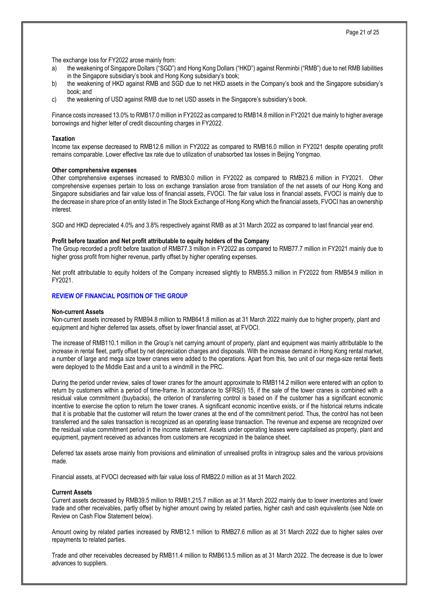Page 21 of 25

The exchange loss for FY2022 arose mainly from:

- a) the weakening of Singapore Dollars ("SGD") and Hong Kong Dollars ("HKD") against Renminbi ("RMB") due to net RMB liabilities in the Singapore subsidiary's book and Hong Kong subsidiary's book;
- b) the weakening of HKD against RMB and SGD due to net HKD assets in the Company's book and the Singapore subsidiary's book; and
- c) the weakening of USD against RMB due to net USD assets in the Singapore's subsidiary's book.

Finance costs increased 13.0% to RMB17.0 million in FY2022 as compared to RMB14.8 million in FY2021 due mainly to higher average borrowings and higher letter of credit discounting charges in FY2022.

#### **Taxation**

Income tax expense decreased to RMB12.6 million in FY2022 as compared to RMB16.0 million in FY2021 despite operating profit remains comparable. Lower effective tax rate due to utilization of unabsorbed tax losses in Beijing Yongmao.

#### **Other comprehensive expenses**

Other comprehensive expenses increased to RMB30.0 million in FY2022 as compared to RMB23.6 million in FY2021. Other comprehensive expenses pertain to loss on exchange translation arose from translation of the net assets of our Hong Kong and Singapore subsidiaries and fair value loss of financial assets, FVOCI. The fair value loss in financial assets, FVOCI is mainly due to the decrease in share price of an entity listed in The Stock Exchange of Hong Kong which the financial assets, FVOCI has an ownership interest.

SGD and HKD depreciated 4.0% and 3.8% respectively against RMB as at 31 March 2022 as compared to last financial year end.

#### **Profit before taxation and Net profit attributable to equity holders of the Company**

The Group recorded a profit before taxation of RMB77.3 million in FY2022 as compared to RMB77.7 million in FY2021 mainly due to higher gross profit from higher revenue, partly offset by higher operating expenses.

Net profit attributable to equity holders of the Company increased slightly to RMB55.3 million in FY2022 from RMB54.9 million in FY2021.

#### **REVIEW OF FINANCIAL POSITION OF THE GROUP**

#### **Non-current Assets**

Non-current assets increased by RMB94.8 million to RMB641.8 million as at 31 March 2022 mainly due to higher property, plant and equipment and higher deferred tax assets, offset by lower financial asset, at FVOCI.

The increase of RMB110.1 million in the Group's net carrying amount of property, plant and equipment was mainly attributable to the increase in rental fleet, partly offset by net depreciation charges and disposals. With the increase demand in Hong Kong rental market, a number of large and mega size tower cranes were added to the operations. Apart from this, two unit of our mega-size rental fleets were deployed to the Middle East and a unit to a windmill in the PRC.

During the period under review, sales of tower cranes for the amount approximate to RMB114.2 million were entered with an option to return by customers within a period of time-frame. In accordance to SFRS(I) 15, if the sale of the tower cranes is combined with a residual value commitment (buybacks), the criterion of transferring control is based on if the customer has a significant economic incentive to exercise the option to return the tower cranes. A significant economic incentive exists, or if the historical returns indicate that it is probable that the customer will return the tower cranes at the end of the commitment period. Thus, the control has not been transferred and the sales transaction is recognized as an operating lease transaction. The revenue and expense are recognized over the residual value commitment period in the income statement. Assets under operating leases were capitalised as property, plant and equipment, payment received as advances from customers are recognized in the balance sheet.

Deferred tax assets arose mainly from provisions and elimination of unrealised profits in intragroup sales and the various provisions made.

Financial assets, at FVOCI decreased with fair value loss of RMB22.0 million as at 31 March 2022.

#### **Current Assets**

Current assets decreased by RMB39.5 million to RMB1,215.7 million as at 31 March 2022 mainly due to lower inventories and lower trade and other receivables, partly offset by higher amount owing by related parties, higher cash and cash equivalents (see Note on Review on Cash Flow Statement below).

Amount owing by related parties increased by RMB12.1 million to RMB27.6 million as at 31 March 2022 due to higher sales over repayments to related parties.

Trade and other receivables decreased by RMB11.4 million to RMB613.5 million as at 31 March 2022. The decrease is due to lower advances to suppliers.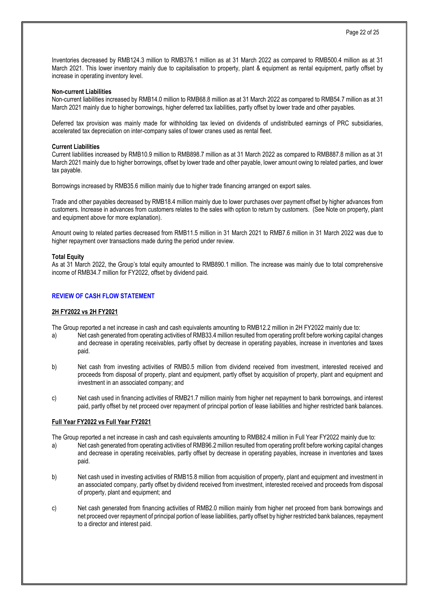Inventories decreased by RMB124.3 million to RMB376.1 million as at 31 March 2022 as compared to RMB500.4 million as at 31 March 2021. This lower inventory mainly due to capitalisation to property, plant & equipment as rental equipment, partly offset by increase in operating inventory level.

#### **Non-current Liabilities**

Non-current liabilities increased by RMB14.0 million to RMB68.8 million as at 31 March 2022 as compared to RMB54.7 million as at 31 March 2021 mainly due to higher borrowings, higher deferred tax liabilities, partly offset by lower trade and other payables.

Deferred tax provision was mainly made for withholding tax levied on dividends of undistributed earnings of PRC subsidiaries, accelerated tax depreciation on inter-company sales of tower cranes used as rental fleet.

#### **Current Liabilities**

Current liabilities increased by RMB10.9 million to RMB898.7 million as at 31 March 2022 as compared to RMB887.8 million as at 31 March 2021 mainly due to higher borrowings, offset by lower trade and other payable, lower amount owing to related parties, and lower tax payable.

Borrowings increased by RMB35.6 million mainly due to higher trade financing arranged on export sales.

Trade and other payables decreased by RMB18.4 million mainly due to lower purchases over payment offset by higher advances from customers. Increase in advances from customers relates to the sales with option to return by customers. (See Note on property, plant and equipment above for more explanation).

Amount owing to related parties decreased from RMB11.5 million in 31 March 2021 to RMB7.6 million in 31 March 2022 was due to higher repayment over transactions made during the period under review.

#### **Total Equity**

As at 31 March 2022, the Group's total equity amounted to RMB890.1 million. The increase was mainly due to total comprehensive income of RMB34.7 million for FY2022, offset by dividend paid.

#### **REVIEW OF CASH FLOW STATEMENT**

#### **2H FY2022 vs 2H FY2021**

The Group reported a net increase in cash and cash equivalents amounting to RMB12.2 million in 2H FY2022 mainly due to:

- a) Net cash generated from operating activities of RMB33.4 million resulted from operating profit before working capital changes and decrease in operating receivables, partly offset by decrease in operating payables, increase in inventories and taxes paid.
- b) Net cash from investing activities of RMB0.5 million from dividend received from investment, interested received and proceeds from disposal of property, plant and equipment, partly offset by acquisition of property, plant and equipment and investment in an associated company; and
- c) Net cash used in financing activities of RMB21.7 million mainly from higher net repayment to bank borrowings, and interest paid, partly offset by net proceed over repayment of principal portion of lease liabilities and higher restricted bank balances.

#### **Full Year FY2022 vs Full Year FY2021**

The Group reported a net increase in cash and cash equivalents amounting to RMB82.4 million in Full Year FY2022 mainly due to:

- a) Net cash generated from operating activities of RMB96.2 million resulted from operating profit before working capital changes and decrease in operating receivables, partly offset by decrease in operating payables, increase in inventories and taxes paid.
- b) Net cash used in investing activities of RMB15.8 million from acquisition of property, plant and equipment and investment in an associated company, partly offset by dividend received from investment, interested received and proceeds from disposal of property, plant and equipment; and
- c) Net cash generated from financing activities of RMB2.0 million mainly from higher net proceed from bank borrowings and net proceed over repayment of principal portion of lease liabilities, partly offset by higher restricted bank balances, repayment to a director and interest paid.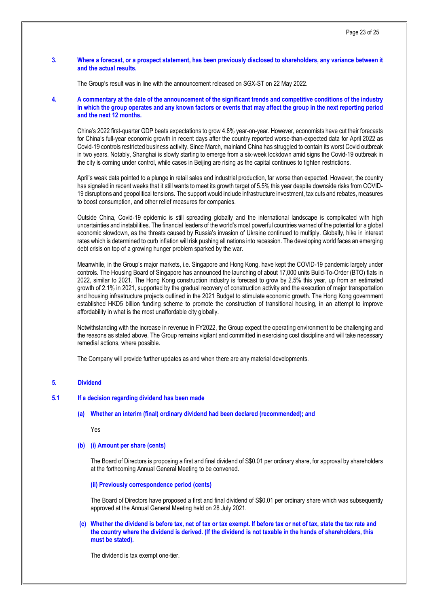#### **3. Where a forecast, or a prospect statement, has been previously disclosed to shareholders, any variance between it and the actual results.**

The Group's result was in line with the announcement released on SGX-ST on 22 May 2022.

**4. A commentary at the date of the announcement of the significant trends and competitive conditions of the industry in which the group operates and any known factors or events that may affect the group in the next reporting period and the next 12 months.**

China's 2022 first-quarter GDP beats expectations to grow 4.8% year-on-year. However, economists have cut their forecasts for China's full-year economic growth in recent days after the country reported worse-than-expected data for April 2022 as Covid-19 controls restricted business activity. Since March, mainland China has struggled to contain its worst Covid outbreak in two years. Notably, Shanghai is slowly starting to emerge from a six-week lockdown amid signs the Covid-19 outbreak in the city is coming under control, while cases in Beijing are rising as the capital continues to tighten restrictions.

April's weak data pointed to a plunge in retail sales and industrial production, far worse than expected. However, the country has signaled in recent weeks that it still wants to meet its growth target of 5.5% this year despite downside risks from COVID-19 disruptions and geopolitical tensions. The support would include infrastructure investment, tax cuts and rebates, measures to boost consumption, and other relief measures for companies.

Outside China, Covid-19 epidemic is still spreading globally and the international landscape is complicated with high uncertainties and instabilities. The financial leaders of the world's most powerful countries warned of the potential for a global economic slowdown, as the threats caused by Russia's invasion of Ukraine continued to multiply. Globally, hike in interest rates which is determined to curb inflation will risk pushing all nations into recession. The developing world faces an emerging debt crisis on top of a growing hunger problem sparked by the war.

Meanwhile, in the Group's major markets, i.e. Singapore and Hong Kong, have kept the COVID-19 pandemic largely under controls. The Housing Board of Singapore has announced the launching of about 17,000 units Build-To-Order (BTO) flats in 2022, similar to 2021. The Hong Kong construction industry is forecast to grow by 2.5% this year, up from an estimated growth of 2.1% in 2021, supported by the gradual recovery of construction activity and the execution of major transportation and housing infrastructure projects outlined in the 2021 Budget to stimulate economic growth. The Hong Kong government established HKD5 billion funding scheme to promote the construction of transitional housing, in an attempt to improve affordability in what is the most unaffordable city globally.

Notwithstanding with the increase in revenue in FY2022, the Group expect the operating environment to be challenging and the reasons as stated above. The Group remains vigilant and committed in exercising cost discipline and will take necessary remedial actions, where possible.

The Company will provide further updates as and when there are any material developments.

#### **5. Dividend**

#### **5.1 If a decision regarding dividend has been made**

**(a) Whether an interim (final) ordinary dividend had been declared (recommended); and**

Yes

#### **(b) (i) Amount per share (cents)**

The Board of Directors is proposing a first and final dividend of S\$0.01 per ordinary share, for approval by shareholders at the forthcoming Annual General Meeting to be convened.

**(ii) Previously correspondence period (cents)**

The Board of Directors have proposed a first and final dividend of S\$0.01 per ordinary share which was subsequently approved at the Annual General Meeting held on 28 July 2021.

#### **(c) Whether the dividend is before tax, net of tax or tax exempt. If before tax or net of tax, state the tax rate and the country where the dividend is derived. (If the dividend is not taxable in the hands of shareholders, this must be stated).**

The dividend is tax exempt one-tier.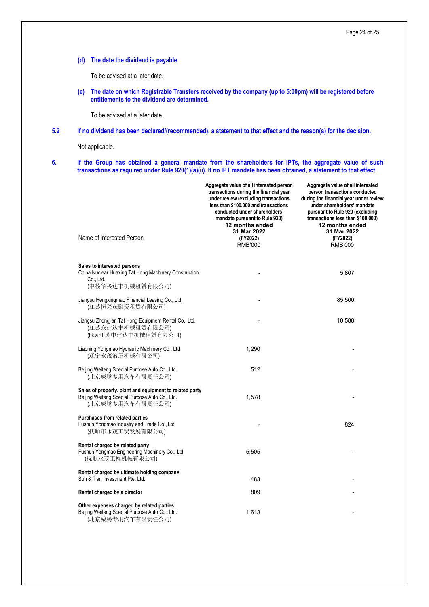**(d) The date the dividend is payable**

To be advised at a later date.

**(e) The date on which Registrable Transfers received by the company (up to 5:00pm) will be registered before entitlements to the dividend are determined.**

To be advised at a later date.

#### **5.2 If no dividend has been declared/(recommended), a statement to that effect and the reason(s) for the decision.**

Not applicable.

**6. If the Group has obtained a general mandate from the shareholders for IPTs, the aggregate value of such transactions as required under Rule 920(1)(a)(ii). If no IPT mandate has been obtained, a statement to that effect.**

| Name of Interested Person                                                                                                     | Aggregate value of all interested person<br>transactions during the financial year<br>under review (excluding transactions<br>less than \$100,000 and transactions<br>conducted under shareholders'<br>mandate pursuant to Rule 920)<br>12 months ended<br>31 Mar 2022<br>(FY2022) | Aggregate value of all interested<br>person transactions conducted<br>during the financial year under review<br>under shareholders' mandate<br>pursuant to Rule 920 (excluding<br>transactions less than \$100,000)<br>12 months ended<br>31 Mar 2022<br>(FY2022) |
|-------------------------------------------------------------------------------------------------------------------------------|------------------------------------------------------------------------------------------------------------------------------------------------------------------------------------------------------------------------------------------------------------------------------------|-------------------------------------------------------------------------------------------------------------------------------------------------------------------------------------------------------------------------------------------------------------------|
|                                                                                                                               | <b>RMB'000</b>                                                                                                                                                                                                                                                                     | <b>RMB'000</b>                                                                                                                                                                                                                                                    |
| Sales to interested persons<br>China Nuclear Huaxing Tat Hong Machinery Construction<br>Co., Ltd.<br>(中核华兴达丰机械租赁有限公司)         |                                                                                                                                                                                                                                                                                    | 5,807                                                                                                                                                                                                                                                             |
| Jiangsu Hengxingmao Financial Leasing Co., Ltd.<br>(江苏恒兴茂融资租赁有限公司)                                                            |                                                                                                                                                                                                                                                                                    | 85,500                                                                                                                                                                                                                                                            |
| Jiangsu Zhongjian Tat Hong Equipment Rental Co., Ltd.<br>(江苏众建达丰机械租赁有限公司)<br>(f.k.a 江苏中建达丰机械租赁有限公司)                           |                                                                                                                                                                                                                                                                                    | 10,588                                                                                                                                                                                                                                                            |
| Liaoning Yongmao Hydraulic Machinery Co., Ltd<br>(辽宁永茂液压机械有限公司)                                                               | 1,290                                                                                                                                                                                                                                                                              |                                                                                                                                                                                                                                                                   |
| Beijing Weiteng Special Purpose Auto Co., Ltd.<br>(北京威腾专用汽车有限责任公司)                                                            | 512                                                                                                                                                                                                                                                                                |                                                                                                                                                                                                                                                                   |
| Sales of property, plant and equipment to related party<br>Beijing Weiteng Special Purpose Auto Co., Ltd.<br>(北京威腾专用汽车有限责任公司) | 1,578                                                                                                                                                                                                                                                                              |                                                                                                                                                                                                                                                                   |
| <b>Purchases from related parties</b><br>Fushun Yongmao Industry and Trade Co., Ltd<br>(抚顺市永茂工贸发展有限公司)                        |                                                                                                                                                                                                                                                                                    | 824                                                                                                                                                                                                                                                               |
| Rental charged by related party<br>Fushun Yongmao Engineering Machinery Co., Ltd.<br>(抚顺永茂工程机械有限公司)                           | 5,505                                                                                                                                                                                                                                                                              |                                                                                                                                                                                                                                                                   |
| Rental charged by ultimate holding company<br>Sun & Tian Investment Pte. Ltd.                                                 | 483                                                                                                                                                                                                                                                                                |                                                                                                                                                                                                                                                                   |
| Rental charged by a director                                                                                                  | 809                                                                                                                                                                                                                                                                                |                                                                                                                                                                                                                                                                   |
| Other expenses charged by related parties<br>Beijing Weiteng Special Purpose Auto Co., Ltd.<br>(北京威腾专用汽车有限责任公司)               | 1,613                                                                                                                                                                                                                                                                              |                                                                                                                                                                                                                                                                   |